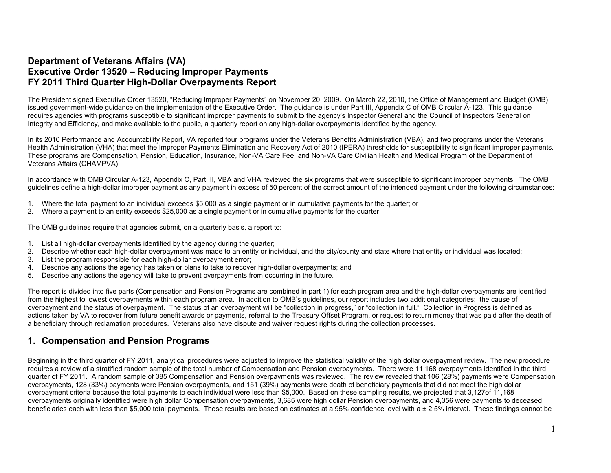## **Department of Veterans Affairs (VA) Executive Order 13520 – Reducing Improper Payments FY 2011 Third Quarter High-Dollar Overpayments Report**

The President signed Executive Order 13520, "Reducing Improper Payments" on November 20, 2009. On March 22, 2010, the Office of Management and Budget (OMB) issued government-wide guidance on the implementation of the Executive Order. The guidance is under Part III, Appendix C of OMB Circular A-123. This guidance requires agencies with programs susceptible to significant improper payments to submit to the agency's Inspector General and the Council of Inspectors General on Integrity and Efficiency, and make available to the public, a quarterly report on any high-dollar overpayments identified by the agency.

In its 2010 Performance and Accountability Report, VA reported four programs under the Veterans Benefits Administration (VBA), and two programs under the Veterans Health Administration (VHA) that meet the Improper Payments Elimination and Recovery Act of 2010 (IPERA) thresholds for susceptibility to significant improper payments. These programs are Compensation, Pension, Education, Insurance, Non-VA Care Fee, and Non-VA Care Civilian Health and Medical Program of the Department of Veterans Affairs (CHAMPVA).

In accordance with OMB Circular A-123, Appendix C, Part III, VBA and VHA reviewed the six programs that were susceptible to significant improper payments. The OMB guidelines define a high-dollar improper payment as any payment in excess of 50 percent of the correct amount of the intended payment under the following circumstances:

- 1. Where the total payment to an individual exceeds \$5,000 as a single payment or in cumulative payments for the quarter; or
- 2. Where a payment to an entity exceeds \$25,000 as a single payment or in cumulative payments for the quarter.

The OMB guidelines require that agencies submit, on a quarterly basis, a report to:

- 1. List all high-dollar overpayments identified by the agency during the quarter;
- 2. Describe whether each high-dollar overpayment was made to an entity or individual, and the city/county and state where that entity or individual was located;
- 3. List the program responsible for each high-dollar overpayment error;
- 4. Describe any actions the agency has taken or plans to take to recover high-dollar overpayments; and
- 5. Describe any actions the agency will take to prevent overpayments from occurring in the future.

The report is divided into five parts (Compensation and Pension Programs are combined in part 1) for each program area and the high-dollar overpayments are identified from the highest to lowest overpayments within each program area. In addition to OMB's guidelines, our report includes two additional categories: the cause of overpayment and the status of overpayment. The status of an overpayment will be "collection in progress," or "collection in full." Collection in Progress is defined as actions taken by VA to recover from future benefit awards or payments, referral to the Treasury Offset Program, or request to return money that was paid after the death of a beneficiary through reclamation procedures. Veterans also have dispute and waiver request rights during the collection processes.

### **1. Compensation and Pension Programs**

Beginning in the third quarter of FY 2011, analytical procedures were adjusted to improve the statistical validity of the high dollar overpayment review. The new procedure requires a review of a stratified random sample of the total number of Compensation and Pension overpayments. There were 11,168 overpayments identified in the third quarter of FY 2011. A random sample of 385 Compensation and Pension overpayments was reviewed. The review revealed that 106 (28%) payments were Compensation overpayments, 128 (33%) payments were Pension overpayments, and 151 (39%) payments were death of beneficiary payments that did not meet the high dollar overpayment criteria because the total payments to each individual were less than \$5,000. Based on these sampling results, we projected that 3,127of 11,168 overpayments originally identified were high dollar Compensation overpayments, 3,685 were high dollar Pension overpayments, and 4,356 were payments to deceased beneficiaries each with less than \$5,000 total payments. These results are based on estimates at a 95% confidence level with a ± 2.5% interval. These findings cannot be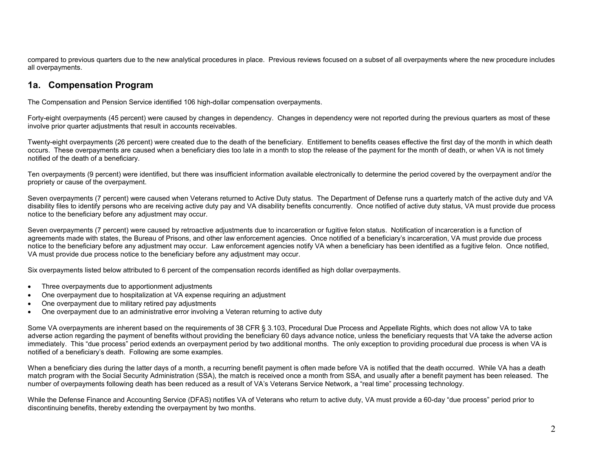compared to previous quarters due to the new analytical procedures in place. Previous reviews focused on a subset of all overpayments where the new procedure includes all overpayments.

## **1a. Compensation Program**

The Compensation and Pension Service identified 106 high-dollar compensation overpayments.

Forty-eight overpayments (45 percent) were caused by changes in dependency. Changes in dependency were not reported during the previous quarters as most of these involve prior quarter adjustments that result in accounts receivables.

Twenty-eight overpayments (26 percent) were created due to the death of the beneficiary. Entitlement to benefits ceases effective the first day of the month in which death occurs. These overpayments are caused when a beneficiary dies too late in a month to stop the release of the payment for the month of death, or when VA is not timely notified of the death of a beneficiary.

Ten overpayments (9 percent) were identified, but there was insufficient information available electronically to determine the period covered by the overpayment and/or the propriety or cause of the overpayment.

Seven overpayments (7 percent) were caused when Veterans returned to Active Duty status. The Department of Defense runs a quarterly match of the active duty and VA disability files to identify persons who are receiving active duty pay and VA disability benefits concurrently. Once notified of active duty status, VA must provide due process notice to the beneficiary before any adjustment may occur.

Seven overpayments (7 percent) were caused by retroactive adjustments due to incarceration or fugitive felon status. Notification of incarceration is a function of agreements made with states, the Bureau of Prisons, and other law enforcement agencies. Once notified of a beneficiary's incarceration, VA must provide due process notice to the beneficiary before any adjustment may occur. Law enforcement agencies notify VA when a beneficiary has been identified as a fugitive felon. Once notified, VA must provide due process notice to the beneficiary before any adjustment may occur.

Six overpayments listed below attributed to 6 percent of the compensation records identified as high dollar overpayments.

- Three overpayments due to apportionment adjustments
- One overpayment due to hospitalization at VA expense requiring an adjustment
- One overpayment due to military retired pay adjustments
- One overpayment due to an administrative error involving a Veteran returning to active duty

Some VA overpayments are inherent based on the requirements of 38 CFR § 3.103, Procedural Due Process and Appellate Rights, which does not allow VA to take adverse action regarding the payment of benefits without providing the beneficiary 60 days advance notice, unless the beneficiary requests that VA take the adverse action immediately. This "due process" period extends an overpayment period by two additional months. The only exception to providing procedural due process is when VA is notified of a beneficiary's death. Following are some examples.

When a beneficiary dies during the latter days of a month, a recurring benefit payment is often made before VA is notified that the death occurred. While VA has a death match program with the Social Security Administration (SSA), the match is received once a month from SSA, and usually after a benefit payment has been released. The number of overpayments following death has been reduced as a result of VA's Veterans Service Network, a "real time" processing technology.

While the Defense Finance and Accounting Service (DFAS) notifies VA of Veterans who return to active duty, VA must provide a 60-day "due process" period prior to discontinuing benefits, thereby extending the overpayment by two months.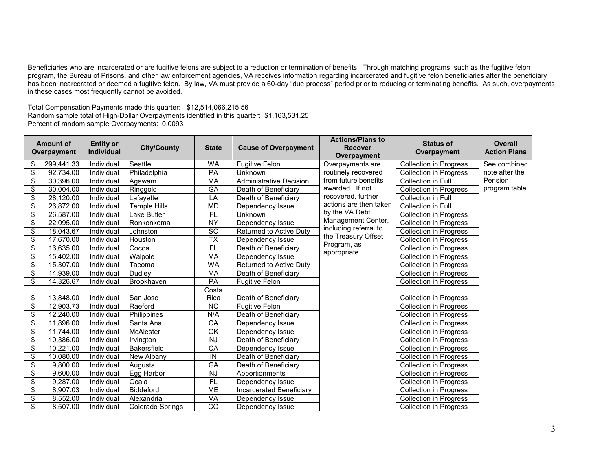Beneficiaries who are incarcerated or are fugitive felons are subject to a reduction or termination of benefits. Through matching programs, such as the fugitive felon program, the Bureau of Prisons, and other law enforcement agencies, VA receives information regarding incarcerated and fugitive felon beneficiaries after the beneficiary has been incarcerated or deemed a fugitive felon. By law, VA must provide a 60-day "due process" period prior to reducing or terminating benefits. As such, overpayments in these cases most frequently cannot be avoided.

Total Compensation Payments made this quarter: \$12,514,066,215.56 Random sample total of High-Dollar Overpayments identified in this quarter: \$1,163,531.25 Percent of random sample Overpayments: 0.0093

|                          | <b>Amount of</b><br>Overpayment | <b>Entity or</b><br><b>Individual</b> | <b>City/County</b>  | <b>State</b>             | <b>Cause of Overpayment</b>    | <b>Actions/Plans to</b><br><b>Recover</b><br>Overpayment | <b>Status of</b><br>Overpayment | <b>Overall</b><br><b>Action Plans</b> |
|--------------------------|---------------------------------|---------------------------------------|---------------------|--------------------------|--------------------------------|----------------------------------------------------------|---------------------------------|---------------------------------------|
| \$                       | 299,441.33                      | Individual                            | Seattle             | <b>WA</b>                | <b>Fugitive Felon</b>          | Overpayments are                                         | <b>Collection in Progress</b>   | See combined                          |
| \$                       | 92,734.00                       | Individual                            | Philadelphia        | PA                       | Unknown                        | routinely recovered                                      | <b>Collection in Progress</b>   | note after the                        |
| \$                       | 30,396.00                       | Individual                            | Agawam              | MA                       | <b>Administrative Decision</b> | from future benefits                                     | Collection in Full              | Pension                               |
| \$                       | 30,004.00                       | Individual                            | Ringgold            | GA                       | Death of Beneficiary           | awarded. If not                                          | <b>Collection in Progress</b>   | program table                         |
| \$                       | 28,120.00                       | Individual                            | Lafayette           | LA                       | Death of Beneficiary           | recovered, further                                       | Collection in Full              |                                       |
| \$                       | 26,872.00                       | Individual                            | <b>Temple Hills</b> | <b>MD</b>                | Dependency Issue               | actions are then taken                                   | <b>Collection in Full</b>       |                                       |
| \$                       | 26,587.00                       | Individual                            | Lake Butler         | <b>FL</b>                | Unknown                        | by the VA Debt                                           | <b>Collection in Progress</b>   |                                       |
| \$                       | 22,095.00                       | Individual                            | Ronkonkoma          | <b>NY</b>                | Dependency Issue               | Management Center,                                       | <b>Collection in Progress</b>   |                                       |
| \$                       | 18,043.67                       | Individual                            | Johnston            | $\overline{SC}$          | Returned to Active Duty        | including referral to                                    | <b>Collection in Progress</b>   |                                       |
| \$                       | 17,670.00                       | Individual                            | Houston             | $\overline{\mathsf{TX}}$ | Dependency Issue               | the Treasury Offset                                      | <b>Collection in Progress</b>   |                                       |
| $\overline{\mathcal{S}}$ | 16,635.00                       | Individual                            | Cocoa               | $\overline{FL}$          | Death of Beneficiary           | Program, as                                              | <b>Collection in Progress</b>   |                                       |
| \$                       | 15,402.00                       | Individual                            | Walpole             | MA                       | Dependency Issue               | appropriate.                                             | <b>Collection in Progress</b>   |                                       |
| \$                       | 15,307.00                       | Individual                            | Tacoma              | <b>WA</b>                | Returned to Active Duty        |                                                          | <b>Collection in Progress</b>   |                                       |
| \$                       | 14,939.00                       | Individual                            | Dudley              | MA                       | Death of Beneficiary           |                                                          | <b>Collection in Progress</b>   |                                       |
| \$                       | 14,326.67                       | Individual                            | Brookhaven          | PA                       | <b>Fugitive Felon</b>          |                                                          | <b>Collection in Progress</b>   |                                       |
|                          |                                 |                                       |                     | Costa                    |                                |                                                          |                                 |                                       |
| \$                       | 13,848.00                       | Individual                            | San Jose            | Rica                     | Death of Beneficiary           |                                                          | <b>Collection in Progress</b>   |                                       |
| \$                       | 12,903.73                       | Individual                            | Raeford             | NC                       | <b>Fugitive Felon</b>          |                                                          | <b>Collection in Progress</b>   |                                       |
| \$                       | 12,240.00                       | Individual                            | Philippines         | N/A                      | Death of Beneficiary           |                                                          | <b>Collection in Progress</b>   |                                       |
| \$                       | 11,896.00                       | Individual                            | Santa Ana           | CA                       | Dependency Issue               |                                                          | <b>Collection in Progress</b>   |                                       |
| \$                       | 11,744.00                       | Individual                            | McAlester           | OK                       | Dependency Issue               |                                                          | <b>Collection in Progress</b>   |                                       |
| \$                       | 10,386.00                       | Individual                            | Irvington           | <b>NJ</b>                | Death of Beneficiary           |                                                          | <b>Collection in Progress</b>   |                                       |
| \$                       | 10,221.00                       | Individual                            | <b>Bakersfield</b>  | $\overline{CA}$          | Dependency Issue               |                                                          | <b>Collection in Progress</b>   |                                       |
| \$                       | 10,080.00                       | Individual                            | New Albany          | IN                       | Death of Beneficiary           |                                                          | <b>Collection in Progress</b>   |                                       |
| \$                       | 9,800.00                        | Individual                            | Augusta             | $G$ A                    | Death of Beneficiary           |                                                          | <b>Collection in Progress</b>   |                                       |
| $\overline{\$}$          | 9,600.00                        | Individual                            | Egg Harbor          | <b>NJ</b>                | Apportionments                 |                                                          | <b>Collection in Progress</b>   |                                       |
| \$                       | 9,287.00                        | Individual                            | Ocala               | $\overline{FL}$          | Dependency Issue               |                                                          | <b>Collection in Progress</b>   |                                       |
| \$                       | 8,907.03                        | Individual                            | Biddeford           | <b>ME</b>                | Incarcerated Beneficiary       |                                                          | <b>Collection in Progress</b>   |                                       |
| \$                       | 8,552.00                        | Individual                            | Alexandria          | VA                       | Dependency Issue               |                                                          | <b>Collection in Progress</b>   |                                       |
| $\overline{\mathbf{s}}$  | 8,507.00                        | Individual                            | Colorado Springs    | $\overline{C}$           | Dependency Issue               |                                                          | <b>Collection in Progress</b>   |                                       |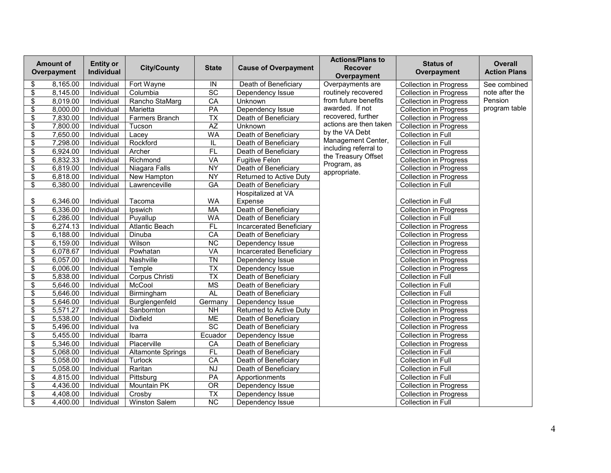|                                      | <b>Amount of</b><br>Overpayment | <b>Entity or</b><br>Individual | <b>City/County</b>       | <b>State</b>             | <b>Cause of Overpayment</b>     | <b>Actions/Plans to</b><br><b>Recover</b><br>Overpayment | <b>Status of</b><br>Overpayment | Overall<br><b>Action Plans</b> |
|--------------------------------------|---------------------------------|--------------------------------|--------------------------|--------------------------|---------------------------------|----------------------------------------------------------|---------------------------------|--------------------------------|
| \$                                   | 8,165.00                        | Individual                     | Fort Wayne               | IN                       | Death of Beneficiary            | Overpayments are                                         | <b>Collection in Progress</b>   | See combined                   |
| \$                                   | 8,145.00                        | Individual                     | Columbia                 | $\overline{SC}$          | Dependency Issue                | routinely recovered                                      | <b>Collection in Progress</b>   | note after the                 |
| $\overline{\mathcal{S}}$             | 8,019.00                        | Individual                     | Rancho StaMarg           | CA                       | Unknown                         | from future benefits                                     | <b>Collection in Progress</b>   | Pension                        |
| \$                                   | 8,000.00                        | Individual                     | Marietta                 | PA                       | Dependency Issue                | awarded. If not                                          | Collection in Progress          | program table                  |
| \$                                   | 7,830.00                        | Individual                     | <b>Farmers Branch</b>    | $\overline{\mathsf{TX}}$ | Death of Beneficiary            | recovered, further                                       | <b>Collection in Progress</b>   |                                |
| \$                                   | 7,800.00                        | Individual                     | Tucson                   | $\overline{AZ}$          | Unknown                         | actions are then taken                                   | <b>Collection in Progress</b>   |                                |
| \$                                   | 7,650.00                        | Individual                     | Lacey                    | <b>WA</b>                | Death of Beneficiary            | by the VA Debt                                           | Collection in Full              |                                |
| \$                                   | 7,298.00                        | Individual                     | Rockford                 | IL                       | Death of Beneficiary            | Management Center,                                       | Collection in Full              |                                |
| $\overline{\boldsymbol{\mathsf{s}}}$ | 6,924.00                        | Individual                     | Archer                   | $F$ L                    | Death of Beneficiary            | including referral to                                    | <b>Collection in Progress</b>   |                                |
| $\overline{\$}$                      | 6,832.33                        | Individual                     | Richmond                 | VA                       | <b>Fugitive Felon</b>           | the Treasury Offset                                      | <b>Collection in Progress</b>   |                                |
| $\overline{\mathbf{S}}$              | 6,819.00                        | Individual                     | Niagara Falls            | <b>NY</b>                | Death of Beneficiary            | Program, as                                              | <b>Collection in Progress</b>   |                                |
| $\overline{\boldsymbol{\mathsf{s}}}$ | 6,818.00                        | Individual                     | <b>New Hampton</b>       | <b>NY</b>                | Returned to Active Duty         | appropriate.                                             | <b>Collection in Progress</b>   |                                |
| \$                                   | 6,380.00                        | Individual                     | Lawrenceville            | $G$ A                    | Death of Beneficiary            |                                                          | Collection in Full              |                                |
|                                      |                                 |                                |                          |                          | Hospitalized at VA              |                                                          |                                 |                                |
| \$                                   | 6,346.00                        | Individual                     | Tacoma                   | <b>WA</b>                | Expense                         |                                                          | Collection in Full              |                                |
| \$                                   | 6,336.00                        | Individual                     | Ipswich                  | <b>MA</b>                | Death of Beneficiary            |                                                          | <b>Collection in Progress</b>   |                                |
| \$                                   | 6,286.00                        | Individual                     | Puyallup                 | <b>WA</b>                | Death of Beneficiary            |                                                          | Collection in Full              |                                |
| \$                                   | 6,274.13                        | Individual                     | <b>Atlantic Beach</b>    | $F$ L                    | <b>Incarcerated Beneficiary</b> |                                                          | <b>Collection in Progress</b>   |                                |
| \$                                   | 6,188.00                        | Individual                     | Dinuba                   | $\overline{CA}$          | Death of Beneficiary            |                                                          | <b>Collection in Progress</b>   |                                |
| $\overline{\mathbf{s}}$              | 6,159.00                        | Individual                     | Wilson                   | NC                       | Dependency Issue                |                                                          | <b>Collection in Progress</b>   |                                |
| $\overline{\$}$                      | 6,078.67                        | Individual                     | Powhatan                 | VA                       | Incarcerated Beneficiary        |                                                          | <b>Collection in Progress</b>   |                                |
| $\overline{\boldsymbol{\mathsf{s}}}$ | 6,057.00                        | Individual                     | Nashville                | <b>TN</b>                | Dependency Issue                |                                                          | <b>Collection in Progress</b>   |                                |
| $\overline{\$}$                      | 6,006.00                        | Individual                     | Temple                   | $\overline{\mathsf{TX}}$ | Dependency Issue                |                                                          | <b>Collection in Progress</b>   |                                |
| \$                                   | 5,838.00                        | Individual                     | Corpus Christi           | $\overline{TX}$          | Death of Beneficiary            |                                                          | Collection in Full              |                                |
| $\overline{\mathcal{S}}$             | 5,646.00                        | Individual                     | McCool                   | <b>MS</b>                | Death of Beneficiary            |                                                          | <b>Collection in Full</b>       |                                |
| \$                                   | 5,646.00                        | Individual                     | Birmingham               | <b>AL</b>                | Death of Beneficiary            |                                                          | Collection in Full              |                                |
| $\overline{\boldsymbol{\mathsf{s}}}$ | 5,646.00                        | Individual                     | Burglengenfeld           | Germany                  | Dependency Issue                |                                                          | <b>Collection in Progress</b>   |                                |
| \$                                   | 5,571.27                        | Individual                     | Sanbornton               | <b>NH</b>                | Returned to Active Duty         |                                                          | <b>Collection in Progress</b>   |                                |
| $\overline{\mathbf{S}}$              | 5,538.00                        | Individual                     | <b>Dixfield</b>          | <b>ME</b>                | Death of Beneficiary            |                                                          | <b>Collection in Progress</b>   |                                |
| $\overline{\boldsymbol{\mathsf{s}}}$ | 5,496.00                        | Individual                     | Iva                      | SC                       | Death of Beneficiary            |                                                          | <b>Collection in Progress</b>   |                                |
| $\overline{\mathcal{E}}$             | 5,455.00                        | Individual                     | Ibarra                   | Ecuador                  | Dependency Issue                |                                                          | <b>Collection in Progress</b>   |                                |
| $\overline{\mathcal{E}}$             | 5,346.00                        | Individual                     | Placerville              | CA                       | Death of Beneficiary            |                                                          | <b>Collection in Progress</b>   |                                |
| \$                                   | 5,068.00                        | Individual                     | <b>Altamonte Springs</b> | FL                       | Death of Beneficiary            |                                                          | Collection in Full              |                                |
| $\overline{\mathcal{S}}$             | 5,058.00                        | Individual                     | Turlock                  | CA                       | Death of Beneficiary            |                                                          | Collection in Full              |                                |
| \$                                   | 5,058.00                        | Individual                     | Raritan                  | <b>NJ</b>                | Death of Beneficiary            |                                                          | Collection in Full              |                                |
| \$                                   | 4,815.00                        | Individual                     | Pittsburg                | PA                       | Apportionments                  |                                                          | Collection in Full              |                                |
| \$                                   | 4,436.00                        | Individual                     | <b>Mountain PK</b>       | $\overline{OR}$          | Dependency Issue                |                                                          | <b>Collection in Progress</b>   |                                |
| \$                                   | 4,408.00                        | Individual                     | Crosby                   | $\overline{TX}$          | Dependency Issue                |                                                          | <b>Collection in Progress</b>   |                                |
| $\overline{\mathbf{s}}$              | 4,400.00                        | Individual                     | <b>Winston Salem</b>     | $\overline{\text{NC}}$   | Dependency Issue                |                                                          | Collection in Full              |                                |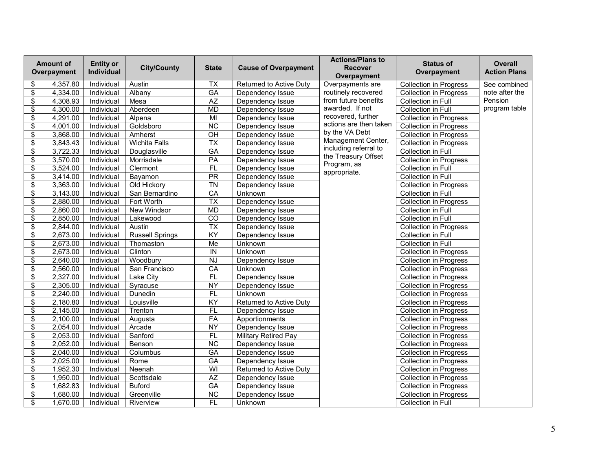|                                    | <b>Amount of</b><br>Overpayment | <b>Entity or</b><br>Individual | <b>City/County</b>     | <b>State</b>            | <b>Cause of Overpayment</b>    | <b>Actions/Plans to</b><br><b>Recover</b><br>Overpayment | <b>Status of</b><br>Overpayment | <b>Overall</b><br><b>Action Plans</b> |
|------------------------------------|---------------------------------|--------------------------------|------------------------|-------------------------|--------------------------------|----------------------------------------------------------|---------------------------------|---------------------------------------|
| \$                                 | 4,357.80                        | Individual                     | Austin                 | $\overline{TX}$         | Returned to Active Duty        | Overpayments are                                         | <b>Collection in Progress</b>   | See combined                          |
| \$                                 | 4,334.00                        | Individual                     | Albany                 | $\overline{GA}$         | Dependency Issue               | routinely recovered                                      | <b>Collection in Progress</b>   | note after the                        |
| \$                                 | 4,308.93                        | Individual                     | Mesa                   | AZ                      | Dependency Issue               | from future benefits                                     | Collection in Full              | Pension                               |
| \$                                 | 4,300.00                        | Individual                     | Aberdeen               | MD                      | Dependency Issue               | awarded. If not                                          | Collection in Full              | program table                         |
| $\overline{\mathbf{S}}$            | 4,291.00                        | Individual                     | Alpena                 | $\overline{M}$          | Dependency Issue               | recovered, further                                       | <b>Collection in Progress</b>   |                                       |
| \$                                 | 4.001.00                        | Individual                     | Goldsboro              | <b>NC</b>               | Dependency Issue               | actions are then taken                                   | <b>Collection in Progress</b>   |                                       |
| \$                                 | 3,868.00                        | Individual                     | Amherst                | $\overline{CH}$         | Dependency Issue               | by the VA Debt                                           | <b>Collection in Progress</b>   |                                       |
| \$                                 | 3,843.43                        | Individual                     | <b>Wichita Falls</b>   | $\overline{TX}$         | Dependency Issue               | Management Center,                                       | <b>Collection in Progress</b>   |                                       |
| $\overline{\boldsymbol{\epsilon}}$ | 3,722.33                        | Individual                     | Douglasville           | GA                      | Dependency Issue               | including referral to                                    | Collection in Full              |                                       |
| $\overline{\boldsymbol{\theta}}$   | 3,570.00                        | Individual                     | Morrisdale             | PA                      | Dependency Issue               | the Treasury Offset<br>Program, as                       | <b>Collection in Progress</b>   |                                       |
| $\overline{\boldsymbol{\theta}}$   | 3,524.00                        | Individual                     | Clermont               | FL                      | Dependency Issue               | appropriate.                                             | Collection in Full              |                                       |
| $\overline{\mathbf{S}}$            | 3,414.00                        | Individual                     | Bayamon                | PR                      | Dependency Issue               |                                                          | Collection in Full              |                                       |
| \$                                 | 3,363.00                        | Individual                     | Old Hickory            | <b>TN</b>               | Dependency Issue               |                                                          | <b>Collection in Progress</b>   |                                       |
| \$                                 | 3,143.00                        | Individual                     | San Bernardino         | CA                      | <b>Unknown</b>                 |                                                          | Collection in Full              |                                       |
| \$                                 | 2,880.00                        | Individual                     | Fort Worth             | $\overline{TX}$         | Dependency Issue               |                                                          | <b>Collection in Progress</b>   |                                       |
| \$                                 | 2,860.00                        | Individual                     | New Windsor            | <b>MD</b>               | Dependency Issue               |                                                          | Collection in Full              |                                       |
| \$                                 | 2,850.00                        | Individual                     | Lakewood               | $\overline{C}$          | Dependency Issue               |                                                          | Collection in Full              |                                       |
| $\overline{\boldsymbol{\theta}}$   | 2,844.00                        | Individual                     | Austin                 | $\overline{TX}$         | Dependency Issue               |                                                          | <b>Collection in Progress</b>   |                                       |
| \$                                 | 2,673.00                        | Individual                     | <b>Russell Springs</b> | KY                      | Dependency Issue               |                                                          | Collection in Full              |                                       |
| \$                                 | 2,673.00                        | Individual                     | Thomaston              | Me                      | <b>Unknown</b>                 |                                                          | Collection in Full              |                                       |
| \$                                 | 2,673.00                        | Individual                     | Clinton                | $\overline{N}$          | Unknown                        |                                                          | <b>Collection in Progress</b>   |                                       |
| \$                                 | 2,640.00                        | Individual                     | Woodbury               | <b>NJ</b>               | Dependency Issue               |                                                          | <b>Collection in Progress</b>   |                                       |
| \$                                 | 2,560.00                        | Individual                     | San Francisco          | $\overline{CA}$         | Unknown                        |                                                          | <b>Collection in Progress</b>   |                                       |
| \$                                 | 2,327.00                        | Individual                     | Lake City              | $\overline{FL}$         | Dependency Issue               |                                                          | <b>Collection in Progress</b>   |                                       |
| \$                                 | 2,305.00                        | Individual                     | Syracuse               | <b>NY</b>               | Dependency Issue               |                                                          | <b>Collection in Progress</b>   |                                       |
| \$                                 | 2,240.00                        | Individual                     | Dunedin                | FL                      | Unknown                        |                                                          | <b>Collection in Progress</b>   |                                       |
| $\overline{\boldsymbol{\theta}}$   | 2,180.80                        | Individual                     | Louisville             | KY                      | Returned to Active Duty        |                                                          | <b>Collection in Progress</b>   |                                       |
| $\overline{\boldsymbol{\epsilon}}$ | 2,145.00                        | Individual                     | Trenton                | FL                      | Dependency Issue               |                                                          | <b>Collection in Progress</b>   |                                       |
| $\overline{\mathbf{S}}$            | 2,100.00                        | Individual                     | Augusta                | FA                      | Apportionments                 |                                                          | <b>Collection in Progress</b>   |                                       |
| $\overline{\boldsymbol{\theta}}$   | 2,054.00                        | Individual                     | Arcade                 | <b>NY</b>               | Dependency Issue               |                                                          | <b>Collection in Progress</b>   |                                       |
| \$                                 | 2,053.00                        | Individual                     | Sanford                | FL                      | <b>Military Retired Pay</b>    |                                                          | <b>Collection in Progress</b>   |                                       |
| $\overline{\boldsymbol{\theta}}$   | 2,052.00                        | Individual                     | Benson                 | $\overline{NC}$         | Dependency Issue               |                                                          | <b>Collection in Progress</b>   |                                       |
| \$                                 | 2,040.00                        | Individual                     | Columbus               | $G$ A                   | Dependency Issue               |                                                          | <b>Collection in Progress</b>   |                                       |
| \$                                 | 2,025.00                        | Individual                     | Rome                   | $\overline{GA}$         | Dependency Issue               |                                                          | <b>Collection in Progress</b>   |                                       |
| $\overline{\boldsymbol{\theta}}$   | 1,952.30                        | Individual                     | Neenah                 | $\overline{\mathsf{W}}$ | <b>Returned to Active Duty</b> |                                                          | Collection in Progress          |                                       |
| $\overline{\boldsymbol{\theta}}$   | 1,950.00                        | Individual                     | Scottsdale             | AZ                      | Dependency Issue               |                                                          | <b>Collection in Progress</b>   |                                       |
| \$                                 | 1,682.83                        | Individual                     | <b>Buford</b>          | <b>GA</b>               | Dependency Issue               |                                                          | <b>Collection in Progress</b>   |                                       |
| $\overline{\boldsymbol{\theta}}$   | 1,680.00                        | Individual                     | Greenville             | NC                      | Dependency Issue               |                                                          | <b>Collection in Progress</b>   |                                       |
| $\overline{\mathbf{s}}$            | 1,670.00                        | Individual                     | Riverview              | FL                      | Unknown                        |                                                          | Collection in Full              |                                       |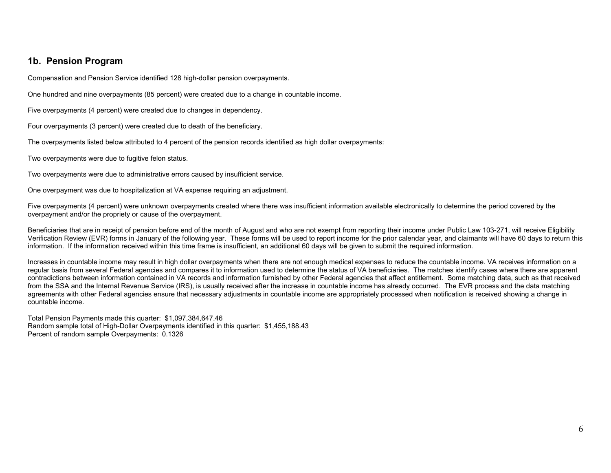### **1b. Pension Program**

Compensation and Pension Service identified 128 high-dollar pension overpayments.

One hundred and nine overpayments (85 percent) were created due to a change in countable income.

Five overpayments (4 percent) were created due to changes in dependency.

Four overpayments (3 percent) were created due to death of the beneficiary.

The overpayments listed below attributed to 4 percent of the pension records identified as high dollar overpayments:

Two overpayments were due to fugitive felon status.

Two overpayments were due to administrative errors caused by insufficient service.

One overpayment was due to hospitalization at VA expense requiring an adjustment.

Five overpayments (4 percent) were unknown overpayments created where there was insufficient information available electronically to determine the period covered by the overpayment and/or the propriety or cause of the overpayment.

Beneficiaries that are in receipt of pension before end of the month of August and who are not exempt from reporting their income under Public Law 103-271, will receive Eligibility Verification Review (EVR) forms in January of the following year. These forms will be used to report income for the prior calendar year, and claimants will have 60 days to return this information. If the information received within this time frame is insufficient, an additional 60 days will be given to submit the required information.

Increases in countable income may result in high dollar overpayments when there are not enough medical expenses to reduce the countable income. VA receives information on a regular basis from several Federal agencies and compares it to information used to determine the status of VA beneficiaries. The matches identify cases where there are apparent contradictions between information contained in VA records and information furnished by other Federal agencies that affect entitlement. Some matching data, such as that received from the SSA and the Internal Revenue Service (IRS), is usually received after the increase in countable income has already occurred. The EVR process and the data matching agreements with other Federal agencies ensure that necessary adjustments in countable income are appropriately processed when notification is received showing a change in countable income.

Total Pension Payments made this quarter: \$1,097,384,647.46 Random sample total of High-Dollar Overpayments identified in this quarter: \$1,455,188.43 Percent of random sample Overpayments: 0.1326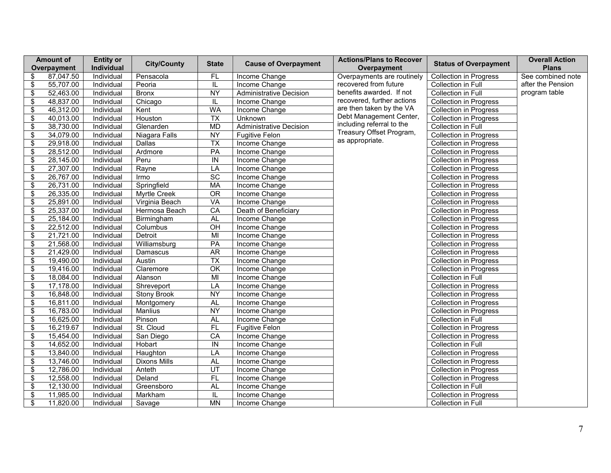|                          | <b>Amount of</b><br>Overpayment | <b>Entity or</b><br>Individual | <b>City/County</b>  | <b>State</b>            | <b>Cause of Overpayment</b>    | <b>Actions/Plans to Recover</b><br>Overpayment | <b>Status of Overpayment</b>  | <b>Overall Action</b><br><b>Plans</b> |
|--------------------------|---------------------------------|--------------------------------|---------------------|-------------------------|--------------------------------|------------------------------------------------|-------------------------------|---------------------------------------|
| \$                       | 87,047.50                       | Individual                     | Pensacola           | FL                      | Income Change                  | Overpayments are routinely                     | <b>Collection in Progress</b> | See combined note                     |
| \$                       | 55,707.00                       | Individual                     | Peoria              | IL                      | Income Change                  | recovered from future                          | Collection in Full            | after the Pension                     |
| \$                       | 52,463.00                       | Individual                     | <b>Bronx</b>        | <b>NY</b>               | <b>Administrative Decision</b> | benefits awarded. If not                       | Collection in Full            | program table                         |
| \$                       | 48,837.00                       | Individual                     | Chicago             | IL                      | Income Change                  | recovered, further actions                     | <b>Collection in Progress</b> |                                       |
| \$                       | 46,312.00                       | Individual                     | Kent                | <b>WA</b>               | Income Change                  | are then taken by the VA                       | Collection in Progress        |                                       |
| \$                       | 40,013.00                       | Individual                     | Houston             | $\overline{TX}$         | <b>Unknown</b>                 | Debt Management Center,                        | <b>Collection in Progress</b> |                                       |
| \$                       | 38,730.00                       | Individual                     | Glenarden           | <b>MD</b>               | <b>Administrative Decision</b> | including referral to the                      | Collection in Full            |                                       |
| \$                       | 34,079.00                       | Individual                     | Niagara Falls       | <b>NY</b>               | Fugitive Felon                 | Treasury Offset Program,                       | <b>Collection in Progress</b> |                                       |
| \$                       | 29,918.00                       | Individual                     | Dallas              | $\overline{TX}$         | Income Change                  | as appropriate.                                | <b>Collection in Progress</b> |                                       |
| \$                       | 28,512.00                       | Individual                     | Ardmore             | PA                      | Income Change                  |                                                | <b>Collection in Progress</b> |                                       |
| \$                       | 28,145.00                       | Individual                     | Peru                | ${\sf IN}$              | Income Change                  |                                                | <b>Collection in Progress</b> |                                       |
| $\overline{\mathcal{E}}$ | 27,307.00                       | Individual                     | Rayne               | LA                      | Income Change                  |                                                | <b>Collection in Progress</b> |                                       |
| \$                       | 26,767.00                       | Individual                     | Irmo                | SC                      | Income Change                  |                                                | <b>Collection in Progress</b> |                                       |
| $\overline{\$}$          | 26,731.00                       | Individual                     | Springfield         | MA                      | Income Change                  |                                                | <b>Collection in Progress</b> |                                       |
| \$                       | 26,335.00                       | Individual                     | Myrtle Creek        | <b>OR</b>               | Income Change                  |                                                | <b>Collection in Progress</b> |                                       |
| \$                       | 25,891.00                       | Individual                     | Virginia Beach      | VA                      | Income Change                  |                                                | <b>Collection in Progress</b> |                                       |
| \$                       | 25,337.00                       | Individual                     | Hermosa Beach       | CA                      | Death of Beneficiary           |                                                | <b>Collection in Progress</b> |                                       |
| \$                       | 25,184.00                       | Individual                     | Birmingham          | AL                      | Income Change                  |                                                | <b>Collection in Progress</b> |                                       |
| $\overline{\mathcal{E}}$ | 22,512.00                       | Individual                     | Columbus            | $\overline{O}$ H        | Income Change                  |                                                | Collection in Progress        |                                       |
| \$                       | 21,721.00                       | Individual                     | Detroit             | MI                      | Income Change                  |                                                | <b>Collection in Progress</b> |                                       |
| \$                       | 21,568.00                       | Individual                     | Williamsburg        | PA                      | Income Change                  |                                                | <b>Collection in Progress</b> |                                       |
| \$                       | 21,429.00                       | Individual                     | Damascus            | <b>AR</b>               | Income Change                  |                                                | Collection in Progress        |                                       |
| $\overline{\mathcal{E}}$ | 19,490.00                       | Individual                     | Austin              | $\overline{TX}$         | Income Change                  |                                                | <b>Collection in Progress</b> |                                       |
| $\overline{\mathcal{E}}$ | 19,416.00                       | Individual                     | Claremore           | $\overline{\alpha}$     | Income Change                  |                                                | <b>Collection in Progress</b> |                                       |
| \$                       | 18,084.00                       | Individual                     | Alanson             | $\overline{M}$          | Income Change                  |                                                | Collection in Full            |                                       |
| \$                       | 17,178.00                       | Individual                     | Shreveport          | LA                      | Income Change                  |                                                | Collection in Progress        |                                       |
| \$                       | 16,848.00                       | Individual                     | <b>Stony Brook</b>  | <b>NY</b>               | Income Change                  |                                                | <b>Collection in Progress</b> |                                       |
| \$                       | 16,811.00                       | Individual                     | Montgomery          | <b>AL</b>               | Income Change                  |                                                | <b>Collection in Progress</b> |                                       |
| \$                       | 16,783.00                       | Individual                     | Manlius             | <b>NY</b>               | Income Change                  |                                                | <b>Collection in Progress</b> |                                       |
| \$                       | 16,625.00                       | Individual                     | Pinson              | AL                      | Income Change                  |                                                | Collection in Full            |                                       |
| \$                       | 16,219.67                       | Individual                     | St. Cloud           | FL                      | <b>Fugitive Felon</b>          |                                                | <b>Collection in Progress</b> |                                       |
| \$                       | 15,454.00                       | Individual                     | San Diego           | CA                      | Income Change                  |                                                | <b>Collection in Progress</b> |                                       |
| \$                       | 14,652.00                       | Individual                     | Hobart              | ${\sf IN}$              | Income Change                  |                                                | Collection in Full            |                                       |
| \$                       | 13,840.00                       | Individual                     | Haughton            | LA                      | Income Change                  |                                                | <b>Collection in Progress</b> |                                       |
| \$                       | 13,746.00                       | Individual                     | <b>Dixons Mills</b> | AL                      | Income Change                  |                                                | <b>Collection in Progress</b> |                                       |
| \$                       | 12,786.00                       | Individual                     | Anteth              | $\overline{UT}$         | Income Change                  |                                                | Collection in Progress        |                                       |
| \$                       | 12,558.00                       | Individual                     | Deland              | FL                      | Income Change                  |                                                | <b>Collection in Progress</b> |                                       |
| \$                       | 12,130.00                       | Individual                     | Greensboro          | AL                      | Income Change                  |                                                | Collection in Full            |                                       |
| $\overline{\mathcal{E}}$ | 11,985.00                       | Individual                     | Markham             | $\overline{\mathsf{L}}$ | Income Change                  |                                                | <b>Collection in Progress</b> |                                       |
| \$                       | 11,820.00                       | Individual                     | Savage              | <b>MN</b>               | Income Change                  |                                                | Collection in Full            |                                       |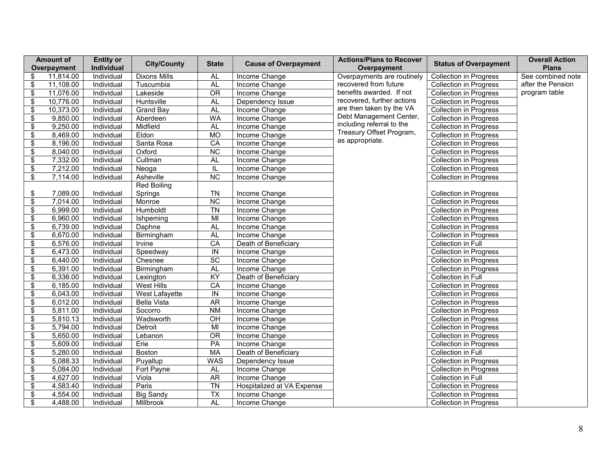|                                           | <b>Amount of</b> | <b>Entity or</b> | <b>City/County</b>  | <b>State</b>                 | <b>Cause of Overpayment</b> | <b>Actions/Plans to Recover</b>                     | <b>Status of Overpayment</b>  | <b>Overall Action</b>             |
|-------------------------------------------|------------------|------------------|---------------------|------------------------------|-----------------------------|-----------------------------------------------------|-------------------------------|-----------------------------------|
|                                           | Overpayment      | Individual       |                     |                              |                             | Overpayment                                         |                               | <b>Plans</b><br>See combined note |
| \$                                        | 11,814.00        | Individual       | <b>Dixons Mills</b> | AL                           | Income Change               | Overpayments are routinely<br>recovered from future | <b>Collection in Progress</b> | after the Pension                 |
| $\overline{\boldsymbol{\theta}}$          | 11,108.00        | Individual       | Tuscumbia           | <b>AL</b><br>$\overline{OR}$ | Income Change               | benefits awarded. If not                            | <b>Collection in Progress</b> | program table                     |
| \$                                        | 11,076.00        | Individual       | Lakeside            |                              | Income Change               | recovered, further actions                          | <b>Collection in Progress</b> |                                   |
| $\overline{\boldsymbol{\theta}}$          | 10,776.00        | Individual       | Huntsville          | <b>AL</b>                    | Dependency Issue            | are then taken by the VA                            | <b>Collection in Progress</b> |                                   |
| \$                                        | 10,373.00        | Individual       | <b>Grand Bay</b>    | AL                           | Income Change               | Debt Management Center,                             | Collection in Progress        |                                   |
| $\overline{\$}$                           | 9,850.00         | Individual       | Aberdeen            | <b>WA</b>                    | Income Change               | including referral to the                           | <b>Collection in Progress</b> |                                   |
| $\overline{\mathcal{E}}$                  | 9,250.00         | Individual       | Midfield            | <b>AL</b>                    | Income Change               | Treasury Offset Program,                            | <b>Collection in Progress</b> |                                   |
| $\overline{\mathcal{E}}$                  | 8,469.00         | Individual       | Eldon               | MO                           | Income Change               | as appropriate.                                     | <b>Collection in Progress</b> |                                   |
| $\overline{\boldsymbol{\theta}}$          | 8,196.00         | Individual       | Santa Rosa          | CA                           | Income Change               |                                                     | <b>Collection in Progress</b> |                                   |
| \$                                        | 8,040.00         | Individual       | Oxford              | <b>NC</b>                    | Income Change               |                                                     | <b>Collection in Progress</b> |                                   |
| $\overline{\boldsymbol{\theta}}$          | 7,332.00         | Individual       | Cullman             | <b>AL</b>                    | Income Change               |                                                     | <b>Collection in Progress</b> |                                   |
| \$                                        | 7,212.00         | Individual       | Neoga               | IL                           | Income Change               |                                                     | Collection in Progress        |                                   |
| $\overline{\boldsymbol{\theta}}$          | 7,114.00         | Individual       | Asheville           | $\overline{\text{NC}}$       | Income Change               |                                                     | <b>Collection in Progress</b> |                                   |
|                                           |                  |                  | <b>Red Boiling</b>  |                              |                             |                                                     |                               |                                   |
| \$                                        | 7,089.00         | Individual       | Springs             | <b>TN</b>                    | Income Change               |                                                     | <b>Collection in Progress</b> |                                   |
| \$                                        | 7,014.00         | Individual       | Monroe              | $\overline{\text{NC}}$       | Income Change               |                                                     | <b>Collection in Progress</b> |                                   |
| $\overline{\mathbf{S}}$                   | 6,999.00         | Individual       | Humboldt            | $\overline{T}N$              | Income Change               |                                                     | <b>Collection in Progress</b> |                                   |
| \$                                        | 6,960.00         | Individual       | Ishpeming           | $\overline{M}$               | Income Change               |                                                     | <b>Collection in Progress</b> |                                   |
| $\overline{\boldsymbol{\theta}}$          | 6,739.00         | Individual       | Daphne              | <b>AL</b>                    | Income Change               |                                                     | <b>Collection in Progress</b> |                                   |
| $\, \, \raisebox{12pt}{$\scriptstyle \$}$ | 6,670.00         | Individual       | Birmingham          | <b>AL</b>                    | Income Change               |                                                     | <b>Collection in Progress</b> |                                   |
| $\overline{\mathcal{E}}$                  | 6,576.00         | Individual       | Irvine              | CA                           | Death of Beneficiary        |                                                     | Collection in Full            |                                   |
| \$                                        | 6,473.00         | Individual       | Speedway            | $\overline{N}$               | Income Change               |                                                     | <b>Collection in Progress</b> |                                   |
| $\overline{\boldsymbol{\epsilon}}$        | 6,440.00         | Individual       | Chesnee             | $\overline{SC}$              | Income Change               |                                                     | <b>Collection in Progress</b> |                                   |
| $\overline{\mathbf{e}}$                   | 6,391.00         | Individual       | Birmingham          | <b>AL</b>                    | Income Change               |                                                     | <b>Collection in Progress</b> |                                   |
| $\overline{\mathcal{E}}$                  | 6,336.00         | Individual       | Lexington           | KY                           | Death of Beneficiary        |                                                     | Collection in Full            |                                   |
| $\overline{\boldsymbol{\theta}}$          | 6,185.00         | Individual       | <b>West Hills</b>   | CA                           | Income Change               |                                                     | <b>Collection in Progress</b> |                                   |
| $\overline{\mathcal{E}}$                  | 6,043.00         | Individual       | West Lafayette      | $\overline{N}$               | Income Change               |                                                     | <b>Collection in Progress</b> |                                   |
| $\overline{\$}$                           | 6,012.00         | Individual       | <b>Bella Vista</b>  | <b>AR</b>                    | Income Change               |                                                     | <b>Collection in Progress</b> |                                   |
| $\overline{\mathcal{E}}$                  | 5,811.00         | Individual       | Socorro             | <b>NM</b>                    | Income Change               |                                                     | <b>Collection in Progress</b> |                                   |
| $\overline{\$}$                           | 5,810.13         | Individual       | Wadsworth           | OH                           | Income Change               |                                                     | <b>Collection in Progress</b> |                                   |
| $\overline{\boldsymbol{\theta}}$          | 5,794.00         | Individual       | Detroit             | $\overline{M}$               | Income Change               |                                                     | <b>Collection in Progress</b> |                                   |
| $\overline{\boldsymbol{\theta}}$          | 5,650.00         | Individual       | Lebanon             | $\overline{OR}$              | Income Change               |                                                     | <b>Collection in Progress</b> |                                   |
| $\overline{\$}$                           | 5,609.00         | Individual       | Erie                | PA                           | Income Change               |                                                     | <b>Collection in Progress</b> |                                   |
| $\overline{\mathcal{E}}$                  | 5,280.00         | Individual       | Boston              | <b>MA</b>                    | Death of Beneficiary        |                                                     | Collection in Full            |                                   |
| \$                                        | 5,088.33         | Individual       | Puyallup            | <b>WAS</b>                   | Dependency Issue            |                                                     | <b>Collection in Progress</b> |                                   |
| $\overline{\$}$                           | 5,084.00         | Individual       | Fort Payne          | AL                           | Income Change               |                                                     | <b>Collection in Progress</b> |                                   |
| $\overline{\boldsymbol{\theta}}$          | 4,627.00         | Individual       | Viola               | <b>AR</b>                    | Income Change               |                                                     | Collection in Full            |                                   |
| \$                                        | 4,583.40         | Individual       | Paris               | $\overline{T}N$              | Hospitalized at VA Expense  |                                                     | <b>Collection in Progress</b> |                                   |
| $\overline{\$}$                           | 4,554.00         | Individual       | <b>Big Sandy</b>    | $\overline{TX}$              | Income Change               |                                                     | <b>Collection in Progress</b> |                                   |
| \$                                        | 4,488.00         | Individual       | Millbrook           | <b>AL</b>                    | Income Change               |                                                     | <b>Collection in Progress</b> |                                   |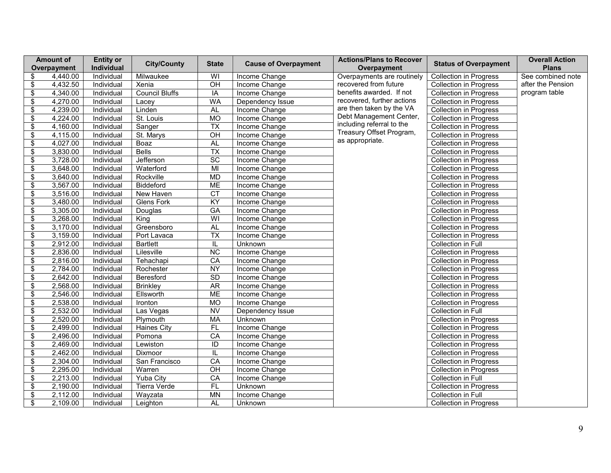|                                  | <b>Amount of</b><br>Overpayment | <b>Entity or</b><br>Individual | <b>City/County</b>    | <b>State</b>           | <b>Cause of Overpayment</b> | <b>Actions/Plans to Recover</b><br>Overpayment | <b>Status of Overpayment</b>  | <b>Overall Action</b><br><b>Plans</b> |
|----------------------------------|---------------------------------|--------------------------------|-----------------------|------------------------|-----------------------------|------------------------------------------------|-------------------------------|---------------------------------------|
| \$                               | 4,440.00                        | Individual                     | Milwaukee             | WI                     | Income Change               | Overpayments are routinely                     | <b>Collection in Progress</b> | See combined note                     |
| \$                               | 4,432.50                        | Individual                     | Xenia                 | OH                     | Income Change               | recovered from future                          | <b>Collection in Progress</b> | after the Pension                     |
| \$                               | 4,340.00                        | Individual                     | <b>Council Bluffs</b> | $\overline{IA}$        | Income Change               | benefits awarded. If not                       | <b>Collection in Progress</b> | program table                         |
| $\overline{\boldsymbol{\theta}}$ | 4,270.00                        | Individual                     | Lacey                 | <b>WA</b>              | Dependency Issue            | recovered, further actions                     | <b>Collection in Progress</b> |                                       |
| $\overline{\boldsymbol{\theta}}$ | 4,239.00                        | Individual                     | Linden                | <b>AL</b>              | Income Change               | are then taken by the VA                       | Collection in Progress        |                                       |
| \$                               | 4,224.00                        | Individual                     | St. Louis             | <b>MO</b>              | Income Change               | Debt Management Center,                        | Collection in Progress        |                                       |
| \$                               | 4,160.00                        | Individual                     | Sanger                | $\overline{TX}$        | Income Change               | including referral to the                      | <b>Collection in Progress</b> |                                       |
| $\overline{\mathcal{E}}$         | 4,115.00                        | Individual                     | St. Marys             | $\overline{CH}$        | Income Change               | Treasury Offset Program,                       | <b>Collection in Progress</b> |                                       |
|                                  |                                 |                                |                       | AL                     |                             | as appropriate.                                |                               |                                       |
| \$                               | 4,027.00                        | Individual                     | Boaz                  |                        | Income Change               |                                                | <b>Collection in Progress</b> |                                       |
| $\overline{\boldsymbol{\theta}}$ | 3,830.00                        | Individual                     | <b>Bells</b>          | $\overline{TX}$        | Income Change               |                                                | <b>Collection in Progress</b> |                                       |
| $\overline{\$}$                  | 3,728.00                        | Individual                     | Jefferson             | $\overline{SC}$        | Income Change               |                                                | <b>Collection in Progress</b> |                                       |
| $\overline{\mathcal{E}}$         | 3,648.00                        | Individual                     | Waterford             | $\overline{M}$         | Income Change               |                                                | <b>Collection in Progress</b> |                                       |
| $\overline{\boldsymbol{\theta}}$ | 3,640.00                        | Individual                     | Rockville             | <b>MD</b>              | Income Change               |                                                | <b>Collection in Progress</b> |                                       |
| $\overline{\boldsymbol{\theta}}$ | 3,567.00                        | Individual                     | Biddeford             | <b>ME</b>              | Income Change               |                                                | Collection in Progress        |                                       |
| $\overline{\$}$                  | 3,516.00                        | Individual                     | New Haven             | $\overline{CT}$        | Income Change               |                                                | <b>Collection in Progress</b> |                                       |
| \$                               | 3,480.00                        | Individual                     | <b>Glens Fork</b>     | KY                     | Income Change               |                                                | <b>Collection in Progress</b> |                                       |
| $\overline{\mathcal{E}}$         | 3,305.00                        | Individual                     | Douglas               | <b>GA</b>              | Income Change               |                                                | <b>Collection in Progress</b> |                                       |
| \$                               | 3,268.00                        | Individual                     | King                  | WI                     | Income Change               |                                                | Collection in Progress        |                                       |
| $\overline{\boldsymbol{\theta}}$ | 3,170.00                        | Individual                     | Greensboro            | AL                     | Income Change               |                                                | <b>Collection in Progress</b> |                                       |
| \$                               | 3,159.00                        | Individual                     | Port Lavaca           | $\overline{TX}$        | Income Change               |                                                | <b>Collection in Progress</b> |                                       |
| $\overline{\mathcal{E}}$         | 2,912.00                        | Individual                     | <b>Bartlett</b>       | IL                     | Unknown                     |                                                | Collection in Full            |                                       |
| \$                               | 2,836.00                        | Individual                     | Lilesville            | $\overline{NC}$        | Income Change               |                                                | <b>Collection in Progress</b> |                                       |
| $\overline{\$}$                  | 2,816.00                        | Individual                     | Tehachapi             | CA                     | Income Change               |                                                | <b>Collection in Progress</b> |                                       |
| $\overline{\boldsymbol{\theta}}$ | 2,784.00                        | Individual                     | Rochester             | $\overline{NY}$        | Income Change               |                                                | <b>Collection in Progress</b> |                                       |
| $\,$                             | 2,642.00                        | Individual                     | Beresford             | <b>SD</b>              | Income Change               |                                                | <b>Collection in Progress</b> |                                       |
| \$                               | 2,568.00                        | Individual                     | <b>Brinkley</b>       | AR                     | Income Change               |                                                | <b>Collection in Progress</b> |                                       |
| \$                               | 2,546.00                        | Individual                     | Ellsworth             | <b>ME</b>              | Income Change               |                                                | Collection in Progress        |                                       |
| $\overline{\$}$                  | 2,538.00                        | Individual                     | Ironton               | <b>MO</b>              | Income Change               |                                                | <b>Collection in Progress</b> |                                       |
| \$                               | 2,532.00                        | Individual                     | Las Vegas             | $\overline{\text{NV}}$ | Dependency Issue            |                                                | Collection in Full            |                                       |
| \$                               | 2,520.00                        | Individual                     | Plymouth              | <b>MA</b>              | Unknown                     |                                                | <b>Collection in Progress</b> |                                       |
| \$                               | 2,499.00                        | Individual                     | <b>Haines City</b>    | FL                     | Income Change               |                                                | Collection in Progress        |                                       |
| $\overline{\boldsymbol{\theta}}$ | 2,496.00                        | Individual                     | Pomona                | $\overline{CA}$        | Income Change               |                                                | <b>Collection in Progress</b> |                                       |
| \$                               | 2,469.00                        | Individual                     | Lewiston              | ID                     | Income Change               |                                                | <b>Collection in Progress</b> |                                       |
| $\overline{\mathcal{E}}$         | 2,462.00                        | Individual                     | Dixmoor               | IL                     | Income Change               |                                                | <b>Collection in Progress</b> |                                       |
| \$                               | 2,304.00                        | Individual                     | San Francisco         | $\overline{CA}$        | Income Change               |                                                | <b>Collection in Progress</b> |                                       |
| $\overline{\boldsymbol{\theta}}$ | 2,295.00                        | Individual                     | Warren                | $\overline{OH}$        | Income Change               |                                                | <b>Collection in Progress</b> |                                       |
| $\overline{\mathcal{E}}$         | 2,213.00                        | Individual                     | Yuba City             | $\overline{CA}$        | Income Change               |                                                | Collection in Full            |                                       |
| \$                               | 2,190.00                        | Individual                     | <b>Tierra Verde</b>   | FL                     | Unknown                     |                                                | <b>Collection in Progress</b> |                                       |
| $\overline{\boldsymbol{\theta}}$ | 2,112.00                        | Individual                     | Wayzata               | <b>MN</b>              | Income Change               |                                                | Collection in Full            |                                       |
| \$                               | 2,109.00                        | Individual                     | Leighton              | <b>AL</b>              | Unknown                     |                                                | <b>Collection in Progress</b> |                                       |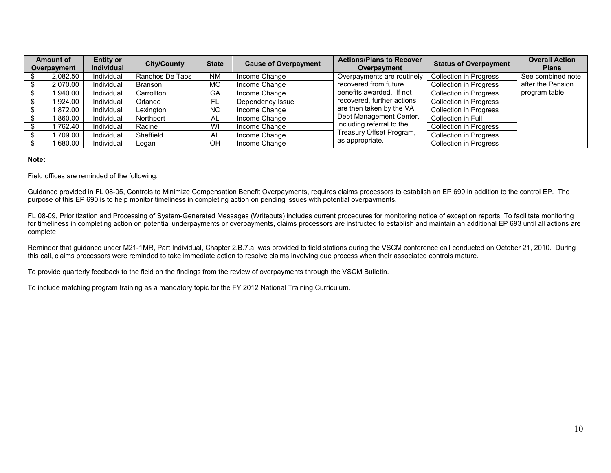| <b>Amount of</b><br>Overpayment | <b>Entity or</b><br><b>Individual</b> | <b>City/County</b> | <b>State</b> | <b>Cause of Overpayment</b> | <b>Actions/Plans to Recover</b><br>Overpayment | <b>Status of Overpayment</b>  | <b>Overall Action</b><br><b>Plans</b> |
|---------------------------------|---------------------------------------|--------------------|--------------|-----------------------------|------------------------------------------------|-------------------------------|---------------------------------------|
| 2,082.50                        | Individual                            | Ranchos De Taos    | <b>NM</b>    | Income Change               | Overpayments are routinely                     | <b>Collection in Progress</b> | See combined note                     |
| 2,070.00                        | Individual                            | Branson            | <b>MO</b>    | Income Change               | recovered from future                          | <b>Collection in Progress</b> | after the Pension                     |
| 1,940.00                        | Individual                            | Carrollton         | GA           | Income Change               | benefits awarded. If not                       | <b>Collection in Progress</b> | program table                         |
| 1.924.00                        | Individual                            | Orlando            | FL           | Dependency Issue            | recovered, further actions                     | <b>Collection in Progress</b> |                                       |
| 1,872.00                        | Individual                            | Lexington          | <b>NC</b>    | Income Change               | are then taken by the VA                       | <b>Collection in Progress</b> |                                       |
| 1.860.00                        | Individual                            | Northport          | AL           | Income Change               | Debt Management Center,                        | Collection in Full            |                                       |
| 1.762.40                        | Individual                            | Racine             | WI           | Income Change               | including referral to the                      | <b>Collection in Progress</b> |                                       |
| 1.709.00                        | Individual                            | Sheffield          | AL           | Income Change               | Treasury Offset Program,                       | <b>Collection in Progress</b> |                                       |
| 1,680.00                        | Individual                            | Logan              | OΗ           | Income Change               | as appropriate.                                | <b>Collection in Progress</b> |                                       |

#### **Note:**

Field offices are reminded of the following:

Guidance provided in FL 08-05, Controls to Minimize Compensation Benefit Overpayments, requires claims processors to establish an EP 690 in addition to the control EP. The purpose of this EP 690 is to help monitor timeliness in completing action on pending issues with potential overpayments.

FL 08-09, Prioritization and Processing of System-Generated Messages (Writeouts) includes current procedures for monitoring notice of exception reports. To facilitate monitoring for timeliness in completing action on potential underpayments or overpayments, claims processors are instructed to establish and maintain an additional EP 693 until all actions are complete.

Reminder that guidance under M21-1MR, Part Individual, Chapter 2.B.7.a, was provided to field stations during the VSCM conference call conducted on October 21, 2010. During this call, claims processors were reminded to take immediate action to resolve claims involving due process when their associated controls mature.

To provide quarterly feedback to the field on the findings from the review of overpayments through the VSCM Bulletin.

To include matching program training as a mandatory topic for the FY 2012 National Training Curriculum.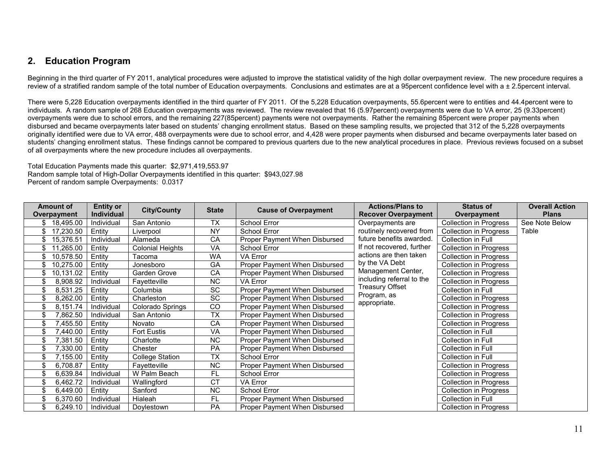## **2. Education Program**

Beginning in the third quarter of FY 2011, analytical procedures were adjusted to improve the statistical validity of the high dollar overpayment review. The new procedure requires a review of a stratified random sample of the total number of Education overpayments. Conclusions and estimates are at a 95percent confidence level with a ± 2.5percent interval.

There were 5,228 Education overpayments identified in the third quarter of FY 2011. Of the 5,228 Education overpayments, 55.6percent were to entities and 44.4percent were to individuals. A random sample of 268 Education overpayments was reviewed. The review revealed that 16 (5.97percent) overpayments were due to VA error, 25 (9.33percent) overpayments were due to school errors, and the remaining 227(85percent) payments were not overpayments. Rather the remaining 85percent were proper payments when disbursed and became overpayments later based on students' changing enrollment status. Based on these sampling results, we projected that 312 of the 5,228 overpayments originally identified were due to VA error, 488 overpayments were due to school error, and 4,428 were proper payments when disbursed and became overpayments later based on students' changing enrollment status. These findings cannot be compared to previous quarters due to the new analytical procedures in place. Previous reviews focused on a subset of all overpayments where the new procedure includes all overpayments.

Total Education Payments made this quarter: \$2,971,419,553.97 Random sample total of High-Dollar Overpayments identified in this quarter: \$943,027.98 Percent of random sample Overpayments: 0.0317

| <b>Amount of</b> | <b>Entity or</b>  | <b>City/County</b>      | <b>State</b>   |                               | <b>Actions/Plans to</b>    | <b>Status of</b>              | <b>Overall Action</b> |
|------------------|-------------------|-------------------------|----------------|-------------------------------|----------------------------|-------------------------------|-----------------------|
| Overpayment      | <b>Individual</b> |                         |                | <b>Cause of Overpayment</b>   | <b>Recover Overpayment</b> | Overpayment                   | <b>Plans</b>          |
| 18,495.00<br>S.  | Individual        | San Antonio             | <b>TX</b>      | School Error                  | Overpayments are           | Collection in Progress        | See Note Below        |
| 17,230.50<br>\$  | Entity            | Liverpool               | <b>NY</b>      | School Error                  | routinely recovered from   | Collection in Progress        | Table                 |
| 15,376.51<br>\$. | Individual        | Alameda                 | CA             | Proper Payment When Disbursed | future benefits awarded.   | Collection in Full            |                       |
| 11,265.00        | Entity            | <b>Colonial Heights</b> | VA             | School Error                  | If not recovered, further  | Collection in Progress        |                       |
| 10,578.50<br>\$. | Entity            | Tacoma                  | WA             | <b>VA Error</b>               | actions are then taken     | Collection in Progress        |                       |
| 10,275.00        | Entity            | Jonesboro               | GA             | Proper Payment When Disbursed | by the VA Debt             | Collection in Progress        |                       |
| 10,131.02<br>\$  | Entity            | Garden Grove            | CA             | Proper Payment When Disbursed | Management Center,         | Collection in Progress        |                       |
| 8,908.92         | Individual        | Fayetteville            | NC.            | <b>VA Error</b>               | including referral to the  | <b>Collection in Progress</b> |                       |
| 8,531.25         | Entity            | Columbia                | <b>SC</b>      | Proper Payment When Disbursed | Treasury Offset            | Collection in Full            |                       |
| \$<br>8,262.00   | Entity            | Charleston              | <b>SC</b>      | Proper Payment When Disbursed | Program, as                | Collection in Progress        |                       |
| 8,151.74         | Individual        | Colorado Springs        | <b>CO</b>      | Proper Payment When Disbursed | appropriate.               | Collection in Progress        |                       |
| 7,862.50         | Individual        | San Antonio             | <b>TX</b>      | Proper Payment When Disbursed |                            | Collection in Progress        |                       |
| 455.50           | Entity            | Novato                  | CA             | Proper Payment When Disbursed |                            | <b>Collection in Progress</b> |                       |
| 7,440.00         | Entity            | <b>Fort Eustis</b>      | <b>VA</b>      | Proper Payment When Disbursed |                            | Collection in Full            |                       |
| 7,381.50         | Entity            | Charlotte               | <b>NC</b>      | Proper Payment When Disbursed |                            | Collection in Full            |                       |
| 7,330.00         | Entity            | Chester                 | <b>PA</b>      | Proper Payment When Disbursed |                            | Collection in Full            |                       |
| \$<br>7,155.00   | Entity            | <b>College Station</b>  | TX             | School Error                  |                            | Collection in Full            |                       |
| 6,708.87<br>\$   | Entity            | Fayetteville            | <b>NC</b>      | Proper Payment When Disbursed |                            | Collection in Progress        |                       |
| 6,639.84         | Individual        | W Palm Beach            | <b>FL</b>      | School Error                  |                            | <b>Collection in Progress</b> |                       |
| 6,462.72<br>\$   | Individual        | Wallingford             | <b>CT</b>      | VA Error                      |                            | Collection in Progress        |                       |
| 6,449.00<br>\$   | Entity            | Sanford                 | N <sub>C</sub> | School Error                  |                            | <b>Collection in Progress</b> |                       |
| 6,370.60         | Individual        | Hialeah                 | <b>FL</b>      | Proper Payment When Disbursed |                            | Collection in Full            |                       |
| 6,249.10         | Individual        | Doylestown              | <b>PA</b>      | Proper Payment When Disbursed |                            | Collection in Progress        |                       |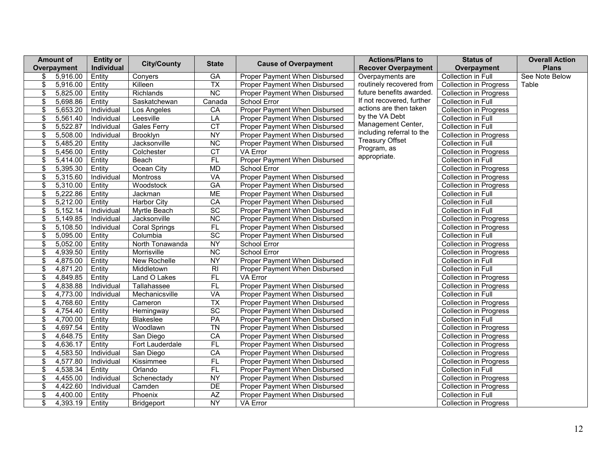| <b>Amount of</b> | <b>Entity or</b> | <b>City/County</b>   | <b>State</b>    | <b>Cause of Overpayment</b>   | <b>Actions/Plans to</b>     | <b>Status of</b>              | <b>Overall Action</b> |
|------------------|------------------|----------------------|-----------------|-------------------------------|-----------------------------|-------------------------------|-----------------------|
| Overpayment      | Individual       |                      |                 |                               | <b>Recover Overpayment</b>  | Overpayment                   | <b>Plans</b>          |
| \$<br>5,916.00   | Entity           | Conyers              | GA              | Proper Payment When Disbursed | Overpayments are            | Collection in Full            | See Note Below        |
| \$<br>5,916.00   | Entity           | Killeen              | $\overline{TX}$ | Proper Payment When Disbursed | routinely recovered from    | <b>Collection in Progress</b> | Table                 |
| \$<br>5,825.00   | Entity           | Richlands            | $\overline{NC}$ | Proper Payment When Disbursed | future benefits awarded.    | <b>Collection in Progress</b> |                       |
| \$<br>5,698.86   | Entity           | Saskatchewan         | Canada          | School Error                  | If not recovered, further   | Collection in Full            |                       |
| \$<br>5,653.20   | Individual       | Los Angeles          | CA              | Proper Payment When Disbursed | actions are then taken      | <b>Collection in Progress</b> |                       |
| \$<br>5,561.40   | Individual       | Leesville            | LA              | Proper Payment When Disbursed | by the VA Debt              | <b>Collection in Full</b>     |                       |
| \$<br>5,522.87   | Individual       | <b>Gales Ferry</b>   | $\overline{CT}$ | Proper Payment When Disbursed | Management Center,          | Collection in Full            |                       |
| \$<br>5,508.00   | Individual       | Brooklyn             | NY              | Proper Payment When Disbursed | including referral to the   | <b>Collection in Progress</b> |                       |
| \$<br>5,485.20   | Entity           | Jacksonville         | $\overline{NC}$ | Proper Payment When Disbursed | <b>Treasury Offset</b>      | Collection in Full            |                       |
| \$<br>5,456.00   | Entity           | Colchester           | <b>CT</b>       | VA Error                      | Program, as<br>appropriate. | <b>Collection in Progress</b> |                       |
| \$<br>5,414.00   | Entity           | Beach                | $\overline{FL}$ | Proper Payment When Disbursed |                             | <b>Collection in Full</b>     |                       |
| \$<br>5,395.30   | Entity           | Ocean City           | MD              | School Error                  |                             | <b>Collection in Progress</b> |                       |
| \$<br>5,315.60   | Individual       | Montross             | VA              | Proper Payment When Disbursed |                             | <b>Collection in Progress</b> |                       |
| \$<br>5,310.00   | Entity           | Woodstock            | <b>GA</b>       | Proper Payment When Disbursed |                             | Collection in Progress        |                       |
| \$<br>5,222.86   | Entity           | Jackman              | <b>ME</b>       | Proper Payment When Disbursed |                             | Collection in Full            |                       |
| \$<br>5,212.00   | Entity           | <b>Harbor City</b>   | CA              | Proper Payment When Disbursed |                             | Collection in Full            |                       |
| \$<br>5,152.14   | Individual       | Myrtle Beach         | SC              | Proper Payment When Disbursed |                             | Collection in Full            |                       |
| \$<br>5,149.85   | Individual       | Jacksonville         | $\overline{NC}$ | Proper Payment When Disbursed |                             | <b>Collection in Progress</b> |                       |
| \$<br>5,108.50   | Individual       | <b>Coral Springs</b> | FL              | Proper Payment When Disbursed |                             | <b>Collection in Progress</b> |                       |
| \$<br>5,095.00   | Entity           | Columbia             | $\overline{SC}$ | Proper Payment When Disbursed |                             | <b>Collection in Full</b>     |                       |
| \$<br>5,052.00   | Entity           | North Tonawanda      | <b>NY</b>       | School Error                  |                             | <b>Collection in Progress</b> |                       |
| \$<br>4,939.50   | Entity           | Morrisville          | $\overline{NC}$ | School Error                  |                             | <b>Collection in Progress</b> |                       |
| \$<br>4,875.00   | Entity           | New Rochelle         | NY              | Proper Payment When Disbursed |                             | Collection in Full            |                       |
| \$<br>4,871.20   | Entity           | Middletown           | $\overline{R}$  | Proper Payment When Disbursed |                             | Collection in Full            |                       |
| \$<br>4,849.85   | Entity           | Land O Lakes         | <b>FL</b>       | VA Error                      |                             | <b>Collection in Progress</b> |                       |
| \$<br>4,838.88   | Individual       | Tallahassee          | FL              | Proper Payment When Disbursed |                             | <b>Collection in Progress</b> |                       |
| \$<br>4,773.00   | Individual       | Mechanicsville       | VA              | Proper Payment When Disbursed |                             | Collection in Full            |                       |
| \$<br>4,768.60   | Entity           | Cameron              | <b>TX</b>       | Proper Payment When Disbursed |                             | <b>Collection in Progress</b> |                       |
| \$<br>4,754.40   | Entity           | Hemingway            | $\overline{SC}$ | Proper Payment When Disbursed |                             | <b>Collection in Progress</b> |                       |
| \$<br>4,700.00   | Entity           | Blakeslee            | PA              | Proper Payment When Disbursed |                             | Collection in Full            |                       |
| \$<br>4,697.54   | Entity           | Woodlawn             | $\overline{T}N$ | Proper Payment When Disbursed |                             | <b>Collection in Progress</b> |                       |
| \$<br>4,648.75   | Entity           | San Diego            | CA              | Proper Payment When Disbursed |                             | <b>Collection in Progress</b> |                       |
| \$<br>4,636.17   | Entity           | Fort Lauderdale      | $\overline{FL}$ | Proper Payment When Disbursed |                             | <b>Collection in Progress</b> |                       |
| \$<br>4,583.50   | Individual       | San Diego            | CA              | Proper Payment When Disbursed |                             | <b>Collection in Progress</b> |                       |
| \$<br>4,577.80   | Individual       | Kissimmee            | FL              | Proper Payment When Disbursed |                             | <b>Collection in Progress</b> |                       |
| \$<br>4,538.34   | Entity           | Orlando              | FL              | Proper Payment When Disbursed |                             | Collection in Full            |                       |
| \$<br>4,455.00   | Individual       | Schenectady          | <b>NY</b>       | Proper Payment When Disbursed |                             | <b>Collection in Progress</b> |                       |
| \$<br>4,422.60   | Individual       | Camden               | DE              | Proper Payment When Disbursed |                             | <b>Collection in Progress</b> |                       |
| \$<br>4,400.00   | Entity           | Phoenix              | <b>AZ</b>       | Proper Payment When Disbursed |                             | Collection in Full            |                       |
| \$<br>4,393.19   | Entity           | Bridgeport           | <b>NY</b>       | VA Error                      |                             | <b>Collection in Progress</b> |                       |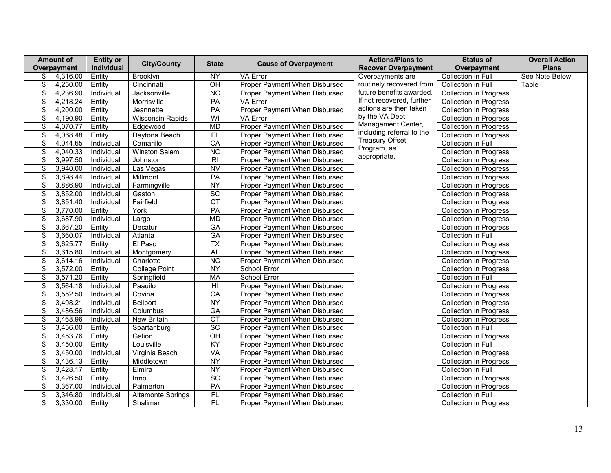|                                  | <b>Amount of</b> | <b>Entity or</b> | <b>City/County</b>       | <b>State</b>            | <b>Cause of Overpayment</b>   | <b>Actions/Plans to</b>    | <b>Status of</b>              | <b>Overall Action</b> |
|----------------------------------|------------------|------------------|--------------------------|-------------------------|-------------------------------|----------------------------|-------------------------------|-----------------------|
|                                  | Overpayment      | Individual       |                          |                         |                               | <b>Recover Overpayment</b> | Overpayment                   | <b>Plans</b>          |
| \$                               | 4,316.00         | Entity           | Brooklyn                 | NY                      | <b>VA Error</b>               | Overpayments are           | Collection in Full            | See Note Below        |
| \$                               | 4,250.00         | Entity           | Cincinnati               | $\overline{CH}$         | Proper Payment When Disbursed | routinely recovered from   | Collection in Full            | Table                 |
| \$                               | 4,236.90         | Individual       | Jacksonville             | $\overline{NC}$         | Proper Payment When Disbursed | future benefits awarded.   | <b>Collection in Progress</b> |                       |
| \$                               | 4,218.24         | Entity           | Morrisville              | PA                      | VA Error                      | If not recovered, further  | <b>Collection in Progress</b> |                       |
| \$                               | 4,200.00         | Entity           | Jeannette                | $\overline{PA}$         | Proper Payment When Disbursed | actions are then taken     | <b>Collection in Progress</b> |                       |
| \$                               | 4,190.90         | Entity           | <b>Wisconsin Rapids</b>  | $\overline{\mathsf{W}}$ | <b>VA Error</b>               | by the VA Debt             | <b>Collection in Progress</b> |                       |
| \$                               | 4,070.77         | Entity           | Edgewood                 | <b>MD</b>               | Proper Payment When Disbursed | Management Center,         | <b>Collection in Progress</b> |                       |
| \$                               | 4,068.48         | Entity           | Daytona Beach            | $\overline{FL}$         | Proper Payment When Disbursed | including referral to the  | <b>Collection in Progress</b> |                       |
| \$                               | 4,044.65         | Individual       | Camarillo                | CA                      | Proper Payment When Disbursed | <b>Treasury Offset</b>     | <b>Collection in Full</b>     |                       |
| \$                               | 4,040.33         | Individual       | Winston Salem            | <b>NC</b>               | Proper Payment When Disbursed | Program, as                | <b>Collection in Progress</b> |                       |
| \$                               | 3,997.50         | Individual       | Johnston                 | $\overline{R}$          | Proper Payment When Disbursed | appropriate.               | <b>Collection in Progress</b> |                       |
| \$                               | 3,940.00         | Individual       | Las Vegas                | $\overline{\text{NV}}$  | Proper Payment When Disbursed |                            | <b>Collection in Progress</b> |                       |
| \$                               | 3,898.44         | Individual       | Millmont                 | PA                      | Proper Payment When Disbursed |                            | <b>Collection in Progress</b> |                       |
| \$                               | 3,886.90         | Individual       | Farmingville             | NY                      | Proper Payment When Disbursed |                            | <b>Collection in Progress</b> |                       |
| \$                               | 3,852.00         | Individual       | Gaston                   | $\overline{SC}$         | Proper Payment When Disbursed |                            | <b>Collection in Progress</b> |                       |
| \$                               | 3,851.40         | Individual       | Fairfield                | CT                      | Proper Payment When Disbursed |                            | <b>Collection in Progress</b> |                       |
| \$                               | 3,770.00         | Entity           | York                     | PA                      | Proper Payment When Disbursed |                            | <b>Collection in Progress</b> |                       |
| \$                               | 3,687.90         | Individual       | Largo                    | MD                      | Proper Payment When Disbursed |                            | <b>Collection in Progress</b> |                       |
| \$                               | 3,667.20         | Entity           | Decatur                  | <b>GA</b>               | Proper Payment When Disbursed |                            | <b>Collection in Progress</b> |                       |
| \$                               | 3,660.07         | Individual       | Atlanta                  | GA                      | Proper Payment When Disbursed |                            | Collection in Full            |                       |
| \$                               | 3,625.77         | Entity           | El Paso                  | $\overline{TX}$         | Proper Payment When Disbursed |                            | Collection in Progress        |                       |
| \$                               | 3,615.80         | Individual       | Montgomery               | <b>AL</b>               | Proper Payment When Disbursed |                            | <b>Collection in Progress</b> |                       |
| \$                               | 3,614.16         | Individual       | Charlotte                | $\overline{NC}$         | Proper Payment When Disbursed |                            | <b>Collection in Progress</b> |                       |
| \$                               | 3,572.00         | Entity           | College Point            | <b>NY</b>               | School Error                  |                            | <b>Collection in Progress</b> |                       |
| \$                               | 3,571.20         | Entity           | Springfield              | <b>MA</b>               | School Error                  |                            | Collection in Full            |                       |
| \$                               | 3,564.18         | Individual       | Paauilo                  | $\overline{H}$          | Proper Payment When Disbursed |                            | <b>Collection in Progress</b> |                       |
| \$                               | 3,552.50         | Individual       | Covina                   | CA                      | Proper Payment When Disbursed |                            | <b>Collection in Progress</b> |                       |
| \$                               | 3,498.21         | Individual       | <b>Bellport</b>          | NY                      | Proper Payment When Disbursed |                            | <b>Collection in Progress</b> |                       |
| \$                               | 3,486.56         | Individual       | Columbus                 | GA                      | Proper Payment When Disbursed |                            | <b>Collection in Progress</b> |                       |
| \$                               | 3,468.96         | Individual       | New Britain              | CT                      | Proper Payment When Disbursed |                            | <b>Collection in Progress</b> |                       |
| \$                               | 3,456.00         | Entity           | Spartanburg              | $\overline{SC}$         | Proper Payment When Disbursed |                            | Collection in Full            |                       |
| \$                               | 3,453.76         | Entity           | Galion                   | $\overline{CH}$         | Proper Payment When Disbursed |                            | <b>Collection in Progress</b> |                       |
| \$                               | 3,450.00         | Entity           | Louisville               | $\overline{KY}$         | Proper Payment When Disbursed |                            | Collection in Full            |                       |
| \$                               | 3,450.00         | Individual       | Virginia Beach           | VA                      | Proper Payment When Disbursed |                            | <b>Collection in Progress</b> |                       |
| \$                               | 3,436.13         | Entity           | Middletown               | <b>NY</b>               | Proper Payment When Disbursed |                            | <b>Collection in Progress</b> |                       |
| \$                               | 3,428.17         | Entity           | Elmira                   | NY                      | Proper Payment When Disbursed |                            | Collection in Full            |                       |
| \$                               | 3,426.50         | Entity           | Irmo                     | $\overline{SC}$         | Proper Payment When Disbursed |                            | <b>Collection in Progress</b> |                       |
| \$                               | 3,367.00         | Individual       | Palmerton                | PA                      | Proper Payment When Disbursed |                            | <b>Collection in Progress</b> |                       |
| $\overline{\boldsymbol{\theta}}$ | 3,346.80         | Individual       | <b>Altamonte Springs</b> | FL                      | Proper Payment When Disbursed |                            | Collection in Full            |                       |
| \$                               | 3,330.00         | Entity           | Shalimar                 | FL                      | Proper Payment When Disbursed |                            | <b>Collection in Progress</b> |                       |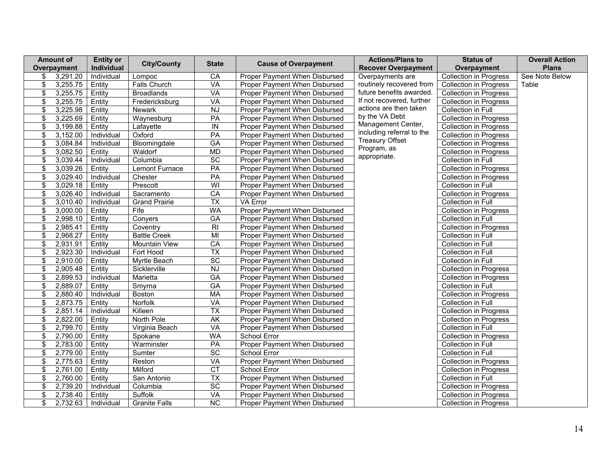|                                  | <b>Amount of</b> | <b>Entity or</b> | <b>City/County</b>   | <b>State</b>             |                               | <b>Actions/Plans to</b>     | <b>Status of</b>              | <b>Overall Action</b> |
|----------------------------------|------------------|------------------|----------------------|--------------------------|-------------------------------|-----------------------------|-------------------------------|-----------------------|
|                                  | Overpayment      | Individual       |                      |                          | <b>Cause of Overpayment</b>   | <b>Recover Overpayment</b>  | Overpayment                   | <b>Plans</b>          |
| \$                               | 3,291.20         | Individual       | Lompoc               | CA                       | Proper Payment When Disbursed | Overpayments are            | <b>Collection in Progress</b> | See Note Below        |
| \$                               | 3,255.75         | Entity           | Falls Church         | VA                       | Proper Payment When Disbursed | routinely recovered from    | <b>Collection in Progress</b> | Table                 |
| \$                               | 3,255.75         | Entity           | <b>Broadlands</b>    | VA                       | Proper Payment When Disbursed | future benefits awarded.    | <b>Collection in Progress</b> |                       |
| \$                               | 3,255.75         | Entity           | Fredericksburg       | VA                       | Proper Payment When Disbursed | If not recovered, further   | <b>Collection in Progress</b> |                       |
| \$                               | 3,225.98         | Entity           | <b>Newark</b>        | <b>NJ</b>                | Proper Payment When Disbursed | actions are then taken      | Collection in Full            |                       |
| \$                               | 3,225.69         | Entity           | Waynesburg           | $\overline{PA}$          | Proper Payment When Disbursed | by the VA Debt              | <b>Collection in Progress</b> |                       |
| \$                               | 3,199.88         | Entity           | Lafayette            | $\sf IN$                 | Proper Payment When Disbursed | Management Center,          | <b>Collection in Progress</b> |                       |
| \$                               | 3,152.00         | Individual       | Oxford               | PA                       | Proper Payment When Disbursed | including referral to the   | <b>Collection in Progress</b> |                       |
| \$                               | 3,084.84         | Individual       | Bloomingdale         | $G$ A                    | Proper Payment When Disbursed | <b>Treasury Offset</b>      | <b>Collection in Progress</b> |                       |
| \$                               | 3,082.50         | Entity           | Waldorf              | <b>MD</b>                | Proper Payment When Disbursed | Program, as<br>appropriate. | <b>Collection in Progress</b> |                       |
| \$                               | 3,039.44         | Individual       | Columbia             | $\overline{SC}$          | Proper Payment When Disbursed |                             | Collection in Full            |                       |
| \$                               | 3,039.26         | Entity           | Lemont Furnace       | $\overline{PA}$          | Proper Payment When Disbursed |                             | <b>Collection in Progress</b> |                       |
| \$                               | 3,029.40         | Individual       | Chester              | PA                       | Proper Payment When Disbursed |                             | <b>Collection in Progress</b> |                       |
| \$                               | 3,029.18         | Entity           | Prescott             | $\overline{\mathsf{W}}$  | Proper Payment When Disbursed |                             | Collection in Full            |                       |
| \$                               | 3,026.40         | Individual       | Sacramento           | CA                       | Proper Payment When Disbursed |                             | <b>Collection in Progress</b> |                       |
| \$                               | 3,010.40         | Individual       | <b>Grand Prairie</b> | $\overline{TX}$          | VA Error                      |                             | Collection in Full            |                       |
| \$                               | 3,000.00         | Entity           | Fife                 | <b>WA</b>                | Proper Payment When Disbursed |                             | <b>Collection in Progress</b> |                       |
| \$                               | 2,998.10         | Entity           | Conyers              | G A                      | Proper Payment When Disbursed |                             | Collection in Full            |                       |
| \$                               | 2,985.41         | Entity           | Coventry             | RI                       | Proper Payment When Disbursed |                             | <b>Collection in Progress</b> |                       |
| \$                               | 2,968.27         | Entity           | <b>Battle Creek</b>  | MI                       | Proper Payment When Disbursed |                             | Collection in Full            |                       |
| \$                               | 2,931.91         | Entity           | Mountain View        | CA                       | Proper Payment When Disbursed |                             | Collection in Full            |                       |
| \$                               | 2,923.30         | Individual       | Fort Hood            | $\overline{TX}$          | Proper Payment When Disbursed |                             | Collection in Full            |                       |
| \$                               | 2,910.00         | Entity           | Myrtle Beach         | SC                       | Proper Payment When Disbursed |                             | Collection in Full            |                       |
| \$                               | 2,905.48         | Entity           | Sicklerville         | <b>NJ</b>                | Proper Payment When Disbursed |                             | <b>Collection in Progress</b> |                       |
| \$                               | 2,899.53         | Individual       | Marietta             | GA                       | Proper Payment When Disbursed |                             | <b>Collection in Progress</b> |                       |
| \$                               | 2,889.07         | Entity           | Smyrna               | $\overline{GA}$          | Proper Payment When Disbursed |                             | Collection in Full            |                       |
| \$                               | 2,880.40         | Individual       | Boston               | MA                       | Proper Payment When Disbursed |                             | <b>Collection in Progress</b> |                       |
| \$                               | 2,873.75         | Entity           | Norfolk              | VA                       | Proper Payment When Disbursed |                             | Collection in Full            |                       |
| \$                               | 2,851.14         | Individual       | Killeen              | <b>TX</b>                | Proper Payment When Disbursed |                             | <b>Collection in Progress</b> |                       |
| \$                               | 2,822.00         | Entity           | North Pole           | $\overline{\mathsf{AK}}$ | Proper Payment When Disbursed |                             | Collection in Progress        |                       |
| \$                               | 2,799.70         | Entity           | Virginia Beach       | VA                       | Proper Payment When Disbursed |                             | Collection in Full            |                       |
| \$                               | 2,790.00         | Entity           | Spokane              | <b>WA</b>                | School Error                  |                             | <b>Collection in Progress</b> |                       |
| \$                               | 2,783.00         | Entity           | Warminster           | PA                       | Proper Payment When Disbursed |                             | Collection in Full            |                       |
| \$                               | 2,779.00         | Entity           | Sumter               | $\overline{SC}$          | School Error                  |                             | Collection in Full            |                       |
| \$                               | 2,775.63         | Entity           | Reston               | <b>VA</b>                | Proper Payment When Disbursed |                             | <b>Collection in Progress</b> |                       |
| \$                               | 2,761.00         | Entity           | Milford              | $\overline{CT}$          | School Error                  |                             | <b>Collection in Progress</b> |                       |
| \$                               | 2,760.00         | Entity           | San Antonio          | $\overline{\mathsf{TX}}$ | Proper Payment When Disbursed |                             | Collection in Full            |                       |
| \$                               | 2,739.20         | Individual       | Columbia             | $\overline{SC}$          | Proper Payment When Disbursed |                             | <b>Collection in Progress</b> |                       |
| $\overline{\boldsymbol{\theta}}$ | 2,738.40         | Entity           | Suffolk              | VA                       | Proper Payment When Disbursed |                             | <b>Collection in Progress</b> |                       |
| \$                               | 2,732.63         | Individual       | <b>Granite Falls</b> | $\overline{NC}$          | Proper Payment When Disbursed |                             | <b>Collection in Progress</b> |                       |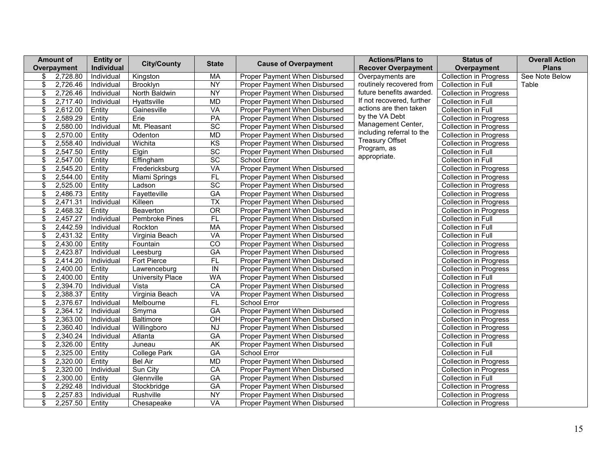|                                  | <b>Amount of</b> | <b>Entity or</b>  | <b>City/County</b>      | <b>State</b>             | <b>Cause of Overpayment</b>   | <b>Actions/Plans to</b>    | <b>Status of</b>              | <b>Overall Action</b> |
|----------------------------------|------------------|-------------------|-------------------------|--------------------------|-------------------------------|----------------------------|-------------------------------|-----------------------|
|                                  | Overpayment      | Individual        |                         |                          |                               | <b>Recover Overpayment</b> | Overpayment                   | <b>Plans</b>          |
| \$                               | 2,728.80         | Individual        | Kingston                | MA                       | Proper Payment When Disbursed | Overpayments are           | <b>Collection in Progress</b> | See Note Below        |
| \$                               | 2,726.46         | Individual        | Brooklyn                | NY                       | Proper Payment When Disbursed | routinely recovered from   | Collection in Full            | Table                 |
| \$                               | 2,726.46         | Individual        | North Baldwin           | $\overline{NY}$          | Proper Payment When Disbursed | future benefits awarded.   | <b>Collection in Progress</b> |                       |
| \$                               | 2,717.40         | Individual        | Hyattsville             | <b>MD</b>                | Proper Payment When Disbursed | If not recovered, further  | Collection in Full            |                       |
| \$                               | 2,612.00         | Entity            | Gainesville             | VA                       | Proper Payment When Disbursed | actions are then taken     | Collection in Full            |                       |
| \$                               | 2,589.29         | Entity            | Erie                    | PA                       | Proper Payment When Disbursed | by the VA Debt             | <b>Collection in Progress</b> |                       |
| \$                               | 2,580.00         | Individual        | Mt. Pleasant            | SC                       | Proper Payment When Disbursed | Management Center,         | <b>Collection in Progress</b> |                       |
| \$                               | 2,570.00         | Entity            | Odenton                 | <b>MD</b>                | Proper Payment When Disbursed | including referral to the  | <b>Collection in Progress</b> |                       |
| \$                               | 2,558.40         | Individual        | Wichita                 | KS                       | Proper Payment When Disbursed | <b>Treasury Offset</b>     | <b>Collection in Progress</b> |                       |
| \$                               | 2,547.50         | Entity            | Elgin                   | SC                       | Proper Payment When Disbursed | Program, as                | Collection in Full            |                       |
| \$                               | 2,547.00         | Entity            | Effingham               | $\overline{SC}$          | School Error                  | appropriate.               | Collection in Full            |                       |
| \$                               | 2,545.20         | Entity            | Fredericksburg          | <b>VA</b>                | Proper Payment When Disbursed |                            | <b>Collection in Progress</b> |                       |
| \$                               | 2,544.00         | Entity            | Miami Springs           | $\overline{FL}$          | Proper Payment When Disbursed |                            | Collection in Progress        |                       |
| \$                               | 2,525.00         | Entity            | Ladson                  | SC                       | Proper Payment When Disbursed |                            | <b>Collection in Progress</b> |                       |
| \$                               | 2,486.73         | Entity            | Fayetteville            | GA                       | Proper Payment When Disbursed |                            | <b>Collection in Progress</b> |                       |
| \$                               | 2,471.31         | Individual        | Killeen                 | $\overline{\mathsf{TX}}$ | Proper Payment When Disbursed |                            | <b>Collection in Progress</b> |                       |
| \$                               | 2,468.32         | Entity            | Beaverton               | $\overline{OR}$          | Proper Payment When Disbursed |                            | <b>Collection in Progress</b> |                       |
| \$                               | 2,457.27         | Individual        | <b>Pembroke Pines</b>   | FL                       | Proper Payment When Disbursed |                            | Collection in Full            |                       |
| \$                               | 2,442.59         | <b>Individual</b> | Rockton                 | <b>MA</b>                | Proper Payment When Disbursed |                            | Collection in Full            |                       |
| \$                               | 2,431.32         | Entity            | Virginia Beach          | VA                       | Proper Payment When Disbursed |                            | Collection in Full            |                       |
| \$                               | 2,430.00         | Entity            | Fountain                | $\overline{C}$           | Proper Payment When Disbursed |                            | <b>Collection in Progress</b> |                       |
| \$                               | 2,423.87         | Individual        | Leesburg                | $\overline{GA}$          | Proper Payment When Disbursed |                            | <b>Collection in Progress</b> |                       |
| \$                               | 2,414.20         | Individual        | <b>Fort Pierce</b>      | FL                       | Proper Payment When Disbursed |                            | <b>Collection in Progress</b> |                       |
| \$                               | 2,400.00         | Entity            | Lawrenceburg            | IN                       | Proper Payment When Disbursed |                            | Collection in Progress        |                       |
| \$                               | 2,400.00         | Entity            | <b>University Place</b> | <b>WA</b>                | Proper Payment When Disbursed |                            | Collection in Full            |                       |
| \$                               | 2,394.70         | Individual        | Vista                   | $\overline{CA}$          | Proper Payment When Disbursed |                            | <b>Collection in Progress</b> |                       |
| \$                               | 2,388.37         | Entity            | Virginia Beach          | VA                       | Proper Payment When Disbursed |                            | <b>Collection in Progress</b> |                       |
| \$                               | 2,376.67         | Individual        | Melbourne               | $\overline{FL}$          | School Error                  |                            | <b>Collection in Progress</b> |                       |
| \$                               | 2,364.12         | Individual        | Smyrna                  | GA                       | Proper Payment When Disbursed |                            | <b>Collection in Progress</b> |                       |
| \$                               | 2,363.00         | Individual        | Baltimore               | $\overline{CH}$          | Proper Payment When Disbursed |                            | <b>Collection in Progress</b> |                       |
| \$                               | 2,360.40         | Individual        | Willingboro             | <b>NJ</b>                | Proper Payment When Disbursed |                            | <b>Collection in Progress</b> |                       |
| \$                               | 2,340.24         | Individual        | Atlanta                 | GA                       | Proper Payment When Disbursed |                            | <b>Collection in Progress</b> |                       |
| \$                               | 2,326.00         | Entity            | Juneau                  | AK                       | Proper Payment When Disbursed |                            | Collection in Full            |                       |
| \$                               | 2,325.00         | Entity            | <b>College Park</b>     | <b>GA</b>                | School Error                  |                            | Collection in Full            |                       |
| \$                               | 2,320.00         | Entity            | <b>Bel Air</b>          | MD                       | Proper Payment When Disbursed |                            | Collection in Progress        |                       |
| \$                               | 2,320.00         | Individual        | Sun City                | CA                       | Proper Payment When Disbursed |                            | <b>Collection in Progress</b> |                       |
| \$                               | 2,300.00         | Entity            | Glennville              | $\overline{GA}$          | Proper Payment When Disbursed |                            | Collection in Full            |                       |
| \$                               | 2,292.48         | Individual        | Stockbridge             | GA                       | Proper Payment When Disbursed |                            | <b>Collection in Progress</b> |                       |
| $\overline{\boldsymbol{\theta}}$ | 2,257.83         | Individual        | Rushville               | <b>NY</b>                | Proper Payment When Disbursed |                            | <b>Collection in Progress</b> |                       |
| \$                               | 2,257.50         | Entity            | Chesapeake              | VA                       | Proper Payment When Disbursed |                            | <b>Collection in Progress</b> |                       |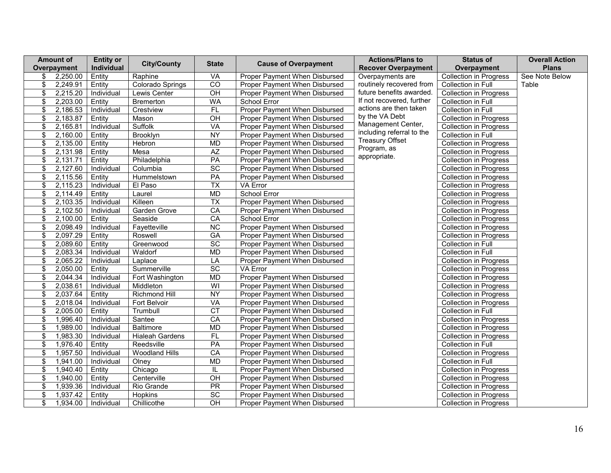|                          | <b>Amount of</b> | <b>Entity or</b> | <b>City/County</b>     | <b>State</b>             | <b>Cause of Overpayment</b>   | <b>Actions/Plans to</b>     | <b>Status of</b>              | <b>Overall Action</b> |
|--------------------------|------------------|------------------|------------------------|--------------------------|-------------------------------|-----------------------------|-------------------------------|-----------------------|
|                          | Overpayment      | Individual       |                        |                          |                               | <b>Recover Overpayment</b>  | Overpayment                   | <b>Plans</b>          |
| \$                       | 2,250.00         | Entity           | Raphine                | VA                       | Proper Payment When Disbursed | Overpayments are            | <b>Collection in Progress</b> | See Note Below        |
| \$                       | 2,249.91         | Entity           | Colorado Springs       | $\overline{C}$           | Proper Payment When Disbursed | routinely recovered from    | Collection in Full            | Table                 |
| \$                       | 2,215.20         | Individual       | Lewis Center           | $\overline{CH}$          | Proper Payment When Disbursed | future benefits awarded.    | <b>Collection in Progress</b> |                       |
| \$                       | 2,203.00         | Entity           | <b>Bremerton</b>       | <b>WA</b>                | School Error                  | If not recovered, further   | Collection in Full            |                       |
| \$                       | 2,186.53         | Individual       | Crestview              | FL                       | Proper Payment When Disbursed | actions are then taken      | Collection in Full            |                       |
| \$                       | 2,183.87         | Entity           | Mason                  | OH                       | Proper Payment When Disbursed | by the VA Debt              | <b>Collection in Progress</b> |                       |
| \$                       | 2,165.81         | Individual       | <b>Suffolk</b>         | VA                       | Proper Payment When Disbursed | Management Center,          | <b>Collection in Progress</b> |                       |
| \$                       | 2,160.00         | Entity           | Brooklyn               | <b>NY</b>                | Proper Payment When Disbursed | including referral to the   | Collection in Full            |                       |
| \$                       | 2,135.00         | Entity           | Hebron                 | <b>MD</b>                | Proper Payment When Disbursed | <b>Treasury Offset</b>      | <b>Collection in Progress</b> |                       |
| \$                       | 2,131.98         | Entity           | Mesa                   | <b>AZ</b>                | Proper Payment When Disbursed | Program, as<br>appropriate. | <b>Collection in Progress</b> |                       |
| \$                       | 2,131.71         | Entity           | Philadelphia           | PA                       | Proper Payment When Disbursed |                             | <b>Collection in Progress</b> |                       |
| \$                       | 2,127.60         | Individual       | Columbia               | $\overline{SC}$          | Proper Payment When Disbursed |                             | <b>Collection in Progress</b> |                       |
| \$                       | 2,115.56         | Entity           | Hummelstown            | PA                       | Proper Payment When Disbursed |                             | <b>Collection in Progress</b> |                       |
| \$                       | 2,115.23         | Individual       | El Paso                | $\overline{TX}$          | VA Error                      |                             | <b>Collection in Progress</b> |                       |
| \$                       | 2,114.49         | Entity           | Laurel                 | <b>MD</b>                | School Error                  |                             | <b>Collection in Progress</b> |                       |
| \$                       | 2,103.35         | Individual       | Killeen                | $\overline{\mathsf{TX}}$ | Proper Payment When Disbursed |                             | <b>Collection in Progress</b> |                       |
| \$                       | 2,102.50         | Individual       | Garden Grove           | CA                       | Proper Payment When Disbursed |                             | <b>Collection in Progress</b> |                       |
| \$                       | 2,100.00         | Entity           | Seaside                | CA                       | School Error                  |                             | <b>Collection in Progress</b> |                       |
| \$                       | 2,098.49         | Individual       | Fayetteville           | $\overline{NC}$          | Proper Payment When Disbursed |                             | <b>Collection in Progress</b> |                       |
| \$                       | 2,097.29         | Entity           | Roswell                | GA                       | Proper Payment When Disbursed |                             | <b>Collection in Progress</b> |                       |
| \$                       | 2,089.60         | Entity           | Greenwood              | SC                       | Proper Payment When Disbursed |                             | Collection in Full            |                       |
| \$                       | 2,083.34         | Individual       | Waldorf                | <b>MD</b>                | Proper Payment When Disbursed |                             | Collection in Full            |                       |
| \$                       | 2,065.22         | Individual       | Laplace                | LA                       | Proper Payment When Disbursed |                             | <b>Collection in Progress</b> |                       |
| \$                       | 2,050.00         | Entity           | Summerville            | $\overline{SC}$          | VA Error                      |                             | <b>Collection in Progress</b> |                       |
| \$                       | 2,044.34         | Individual       | Fort Washington        | <b>MD</b>                | Proper Payment When Disbursed |                             | <b>Collection in Progress</b> |                       |
| \$                       | 2,038.61         | Individual       | Middleton              | $\overline{\mathsf{W}}$  | Proper Payment When Disbursed |                             | <b>Collection in Progress</b> |                       |
| \$                       | 2,037.64         | Entity           | Richmond Hill          | NY                       | Proper Payment When Disbursed |                             | <b>Collection in Progress</b> |                       |
| \$                       | 2,018.04         | Individual       | Fort Belvoir           | VA                       | Proper Payment When Disbursed |                             | <b>Collection in Progress</b> |                       |
| \$                       | 2,005.00         | Entity           | Trumbull               | $\overline{CT}$          | Proper Payment When Disbursed |                             | Collection in Full            |                       |
| \$                       | 1,996.40         | Individual       | Santee                 | CA                       | Proper Payment When Disbursed |                             | <b>Collection in Progress</b> |                       |
| \$                       | 1,989.00         | Individual       | <b>Baltimore</b>       | <b>MD</b>                | Proper Payment When Disbursed |                             | <b>Collection in Progress</b> |                       |
| $\overline{\mathcal{S}}$ | 1,983.30         | Individual       | <b>Hialeah Gardens</b> | FL                       | Proper Payment When Disbursed |                             | <b>Collection in Progress</b> |                       |
| \$                       | 1,976.40         | Entity           | Reedsville             | PA                       | Proper Payment When Disbursed |                             | Collection in Full            |                       |
| \$                       | 1,957.50         | Individual       | <b>Woodland Hills</b>  | CA                       | Proper Payment When Disbursed |                             | <b>Collection in Progress</b> |                       |
| \$                       | 1,941.00         | Individual       | Olney                  | <b>MD</b>                | Proper Payment When Disbursed |                             | Collection in Full            |                       |
| \$                       | 1,940.40         | Entity           | Chicago                | IL                       | Proper Payment When Disbursed |                             | <b>Collection in Progress</b> |                       |
| \$                       | 1,940.00         | Entity           | Centerville            | $\overline{CH}$          | Proper Payment When Disbursed |                             | <b>Collection in Progress</b> |                       |
| \$                       | 1,939.36         | Individual       | Rio Grande             | $\overline{PR}$          | Proper Payment When Disbursed |                             | <b>Collection in Progress</b> |                       |
| $\overline{\mathbf{e}}$  | 1,937.42         | Entity           | Hopkins                | SC                       | Proper Payment When Disbursed |                             | <b>Collection in Progress</b> |                       |
| \$                       | 1,934.00         | Individual       | Chillicothe            | $\overline{CH}$          | Proper Payment When Disbursed |                             | <b>Collection in Progress</b> |                       |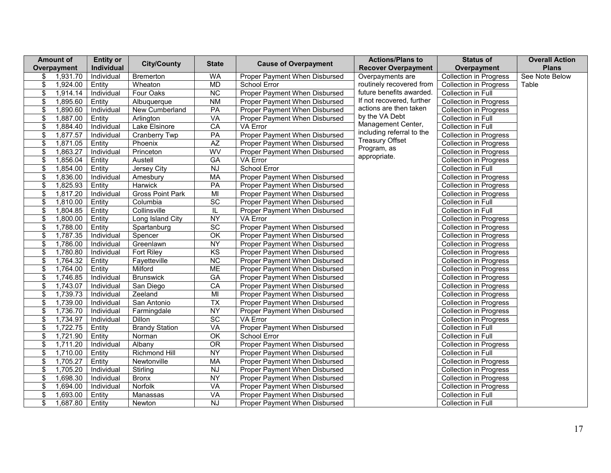|                          | <b>Amount of</b> | <b>Entity or</b> | <b>City/County</b>      | <b>State</b>             | <b>Cause of Overpayment</b>   | <b>Actions/Plans to</b>     | <b>Status of</b>              | <b>Overall Action</b> |
|--------------------------|------------------|------------------|-------------------------|--------------------------|-------------------------------|-----------------------------|-------------------------------|-----------------------|
|                          | Overpayment      | Individual       |                         |                          |                               | <b>Recover Overpayment</b>  | Overpayment                   | <b>Plans</b>          |
| \$                       | 1,931.70         | Individual       | Bremerton               | <b>WA</b>                | Proper Payment When Disbursed | Overpayments are            | <b>Collection in Progress</b> | See Note Below        |
| \$                       | 1,924.00         | Entity           | Wheaton                 | <b>MD</b>                | School Error                  | routinely recovered from    | <b>Collection in Progress</b> | Table                 |
| \$                       | 1,914.14         | Individual       | Four Oaks               | NC                       | Proper Payment When Disbursed | future benefits awarded.    | Collection in Full            |                       |
| \$                       | 1,895.60         | Entity           | Albuquerque             | <b>NM</b>                | Proper Payment When Disbursed | If not recovered, further   | <b>Collection in Progress</b> |                       |
| \$                       | 1,890.60         | Individual       | New Cumberland          | PA                       | Proper Payment When Disbursed | actions are then taken      | <b>Collection in Progress</b> |                       |
| $\overline{\mathcal{E}}$ | 1,887.00         | Entity           | Arlington               | <b>VA</b>                | Proper Payment When Disbursed | by the VA Debt              | Collection in Full            |                       |
| \$                       | 1,884.40         | Individual       | Lake Elsinore           | CA                       | VA Error                      | Management Center,          | Collection in Full            |                       |
| \$                       | 1,877.57         | Individual       | Cranberry Twp           | PA                       | Proper Payment When Disbursed | including referral to the   | <b>Collection in Progress</b> |                       |
| \$                       | 1,871.05         | Entity           | Phoenix                 | $\overline{AZ}$          | Proper Payment When Disbursed | <b>Treasury Offset</b>      | <b>Collection in Progress</b> |                       |
| \$                       | 1,863.27         | Individual       | Princeton               | WV                       | Proper Payment When Disbursed | Program, as<br>appropriate. | <b>Collection in Progress</b> |                       |
| \$                       | 1,856.04         | Entity           | Austell                 | $\overline{GA}$          | VA Error                      |                             | <b>Collection in Progress</b> |                       |
| \$                       | 1,854.00         | Entity           | Jersey City             | NJ                       | School Error                  |                             | Collection in Full            |                       |
| \$                       | 1,836.00         | Individual       | Amesbury                | <b>MA</b>                | Proper Payment When Disbursed |                             | <b>Collection in Progress</b> |                       |
| \$                       | 1,825.93         | Entity           | Harwick                 | PA                       | Proper Payment When Disbursed |                             | <b>Collection in Progress</b> |                       |
| \$                       | 1,817.20         | Individual       | <b>Gross Point Park</b> | $\overline{M}$           | Proper Payment When Disbursed |                             | <b>Collection in Progress</b> |                       |
| \$                       | 1,810.00         | Entity           | Columbia                | $\overline{SC}$          | Proper Payment When Disbursed |                             | Collection in Full            |                       |
| \$                       | 1,804.85         | Entity           | Collinsville            | IL                       | Proper Payment When Disbursed |                             | Collection in Full            |                       |
| \$                       | 1,800.00         | Entity           | Long Island City        | NY                       | VA Error                      |                             | <b>Collection in Progress</b> |                       |
| \$                       | 1,788.00         | Entity           | Spartanburg             | SC                       | Proper Payment When Disbursed |                             | Collection in Progress        |                       |
| \$                       | 1,787.35         | Individual       | Spencer                 | $\overline{\mathsf{OK}}$ | Proper Payment When Disbursed |                             | <b>Collection in Progress</b> |                       |
| \$                       | 1,786.00         | Individual       | Greenlawn               | NY                       | Proper Payment When Disbursed |                             | <b>Collection in Progress</b> |                       |
| \$                       | 1,780.80         | Individual       | <b>Fort Riley</b>       | $\overline{KS}$          | Proper Payment When Disbursed |                             | Collection in Progress        |                       |
| \$                       | 1,764.32         | Entity           | Fayetteville            | $\overline{NC}$          | Proper Payment When Disbursed |                             | Collection in Progress        |                       |
| \$                       | 1,764.00         | Entity           | Milford                 | <b>ME</b>                | Proper Payment When Disbursed |                             | <b>Collection in Progress</b> |                       |
| \$                       | 1,746.85         | Individual       | <b>Brunswick</b>        | GA                       | Proper Payment When Disbursed |                             | Collection in Progress        |                       |
| \$                       | 1,743.07         | Individual       | San Diego               | CA                       | Proper Payment When Disbursed |                             | <b>Collection in Progress</b> |                       |
| \$                       | 1,739.73         | Individual       | Zeeland                 | MI                       | Proper Payment When Disbursed |                             | <b>Collection in Progress</b> |                       |
| $\overline{\mathcal{E}}$ | 1,739.00         | Individual       | San Antonio             | <b>TX</b>                | Proper Payment When Disbursed |                             | <b>Collection in Progress</b> |                       |
| \$                       | 1,736.70         | Individual       | Farmingdale             | <b>NY</b>                | Proper Payment When Disbursed |                             | Collection in Progress        |                       |
| \$                       | 1,734.97         | Individual       | Dillon                  | $\overline{SC}$          | VA Error                      |                             | Collection in Progress        |                       |
| \$                       | 1,722.75         | Entity           | <b>Brandy Station</b>   | <b>VA</b>                | Proper Payment When Disbursed |                             | Collection in Full            |                       |
| \$                       | 1,721.90         | Entity           | Norman                  | $\overline{OK}$          | School Error                  |                             | Collection in Full            |                       |
| $\boldsymbol{\$}$        | 1,711.20         | Individual       | Albany                  | $\overline{OR}$          | Proper Payment When Disbursed |                             | Collection in Progress        |                       |
| \$                       | 1,710.00         | Entity           | <b>Richmond Hill</b>    | <b>NY</b>                | Proper Payment When Disbursed |                             | Collection in Full            |                       |
| \$                       | 1,705.27         | Entity           | Newtonville             | <b>MA</b>                | Proper Payment When Disbursed |                             | <b>Collection in Progress</b> |                       |
| \$                       | 1,705.20         | Individual       | Stirling                | $\overline{N}$           | Proper Payment When Disbursed |                             | <b>Collection in Progress</b> |                       |
| \$                       | 1,698.30         | Individual       | <b>Bronx</b>            | NY                       | Proper Payment When Disbursed |                             | Collection in Progress        |                       |
| \$                       | 1,694.00         | Individual       | <b>Norfolk</b>          | VA                       | Proper Payment When Disbursed |                             | <b>Collection in Progress</b> |                       |
| \$                       | 1,693.00         | Entity           | Manassas                | <b>VA</b>                | Proper Payment When Disbursed |                             | Collection in Full            |                       |
| \$                       | 1,687.80         | Entity           | Newton                  | $\overline{N}$           | Proper Payment When Disbursed |                             | Collection in Full            |                       |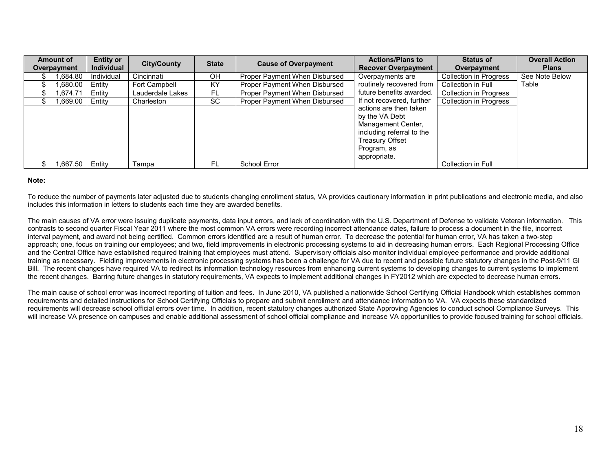| Amount of   | <b>Entity or</b>  | <b>City/County</b> | <b>State</b> | <b>Cause of Overpayment</b>   | <b>Actions/Plans to</b>    | <b>Status of</b>              | <b>Overall Action</b> |
|-------------|-------------------|--------------------|--------------|-------------------------------|----------------------------|-------------------------------|-----------------------|
| Overpayment | <b>Individual</b> |                    |              |                               | <b>Recover Overpayment</b> | Overpayment                   | <b>Plans</b>          |
| .684.80     | Individual        | Cincinnati         | <b>OH</b>    | Proper Payment When Disbursed | Overpayments are           | <b>Collection in Progress</b> | See Note Below        |
| 0.680.00    | Entity            | Fort Campbell      | KY           | Proper Payment When Disbursed | routinely recovered from   | Collection in Full            | Table                 |
| .674.71     | Entity            | Lauderdale Lakes   | FL           | Proper Payment When Disbursed | future benefits awarded.   | Collection in Progress        |                       |
| .669.00     | Entity            | Charleston         | SC           | Proper Payment When Disbursed | If not recovered, further  | Collection in Progress        |                       |
|             |                   |                    |              |                               | actions are then taken     |                               |                       |
|             |                   |                    |              |                               | by the VA Debt             |                               |                       |
|             |                   |                    |              |                               | Management Center,         |                               |                       |
|             |                   |                    |              |                               | including referral to the  |                               |                       |
|             |                   |                    |              |                               | <b>Treasury Offset</b>     |                               |                       |
|             |                   |                    |              |                               | Program, as                |                               |                       |
|             |                   |                    |              |                               | appropriate.               |                               |                       |
| .667.50 ا   | Entity            | Tampa              | FL           | School Error                  |                            | Collection in Full            |                       |

#### **Note:**

To reduce the number of payments later adjusted due to students changing enrollment status, VA provides cautionary information in print publications and electronic media, and also includes this information in letters to students each time they are awarded benefits.

The main causes of VA error were issuing duplicate payments, data input errors, and lack of coordination with the U.S. Department of Defense to validate Veteran information. This contrasts to second quarter Fiscal Year 2011 where the most common VA errors were recording incorrect attendance dates, failure to process a document in the file, incorrect interval payment, and award not being certified. Common errors identified are a result of human error. To decrease the potential for human error, VA has taken a two-step approach; one, focus on training our employees; and two, field improvements in electronic processing systems to aid in decreasing human errors. Each Regional Processing Office and the Central Office have established required training that employees must attend. Supervisory officials also monitor individual employee performance and provide additional training as necessary. Fielding improvements in electronic processing systems has been a challenge for VA due to recent and possible future statutory changes in the Post-9/11 GI Bill. The recent changes have required VA to redirect its information technology resources from enhancing current systems to developing changes to current systems to implement the recent changes. Barring future changes in statutory requirements, VA expects to implement additional changes in FY2012 which are expected to decrease human errors.

The main cause of school error was incorrect reporting of tuition and fees. In June 2010, VA published a nationwide School Certifying Official Handbook which establishes common requirements and detailed instructions for School Certifying Officials to prepare and submit enrollment and attendance information to VA. VA expects these standardized requirements will decrease school official errors over time. In addition, recent statutory changes authorized State Approving Agencies to conduct school Compliance Surveys. This will increase VA presence on campuses and enable additional assessment of school official compliance and increase VA opportunities to provide focused training for school officials.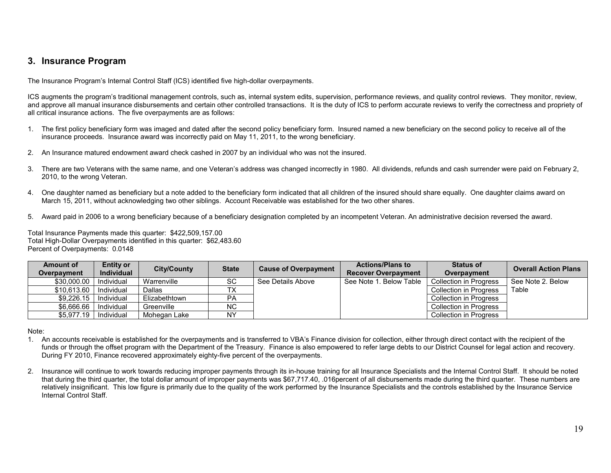## **3. Insurance Program**

The Insurance Program's Internal Control Staff (ICS) identified five high-dollar overpayments.

ICS augments the program's traditional management controls, such as, internal system edits, supervision, performance reviews, and quality control reviews. They monitor, review, and approve all manual insurance disbursements and certain other controlled transactions. It is the duty of ICS to perform accurate reviews to verify the correctness and propriety of all critical insurance actions. The five overpayments are as follows:

- 1. The first policy beneficiary form was imaged and dated after the second policy beneficiary form. Insured named a new beneficiary on the second policy to receive all of the insurance proceeds. Insurance award was incorrectly paid on May 11, 2011, to the wrong beneficiary.
- 2. An Insurance matured endowment award check cashed in 2007 by an individual who was not the insured.
- 3. There are two Veterans with the same name, and one Veteran's address was changed incorrectly in 1980. All dividends, refunds and cash surrender were paid on February 2, 2010, to the wrong Veteran.
- 4. One daughter named as beneficiary but a note added to the beneficiary form indicated that all children of the insured should share equally. One daughter claims award on March 15, 2011, without acknowledging two other siblings. Account Receivable was established for the two other shares.
- 5. Award paid in 2006 to a wrong beneficiary because of a beneficiary designation completed by an incompetent Veteran. An administrative decision reversed the award.

Total Insurance Payments made this quarter: \$422,509,157.00 Total High-Dollar Overpayments identified in this quarter: \$62,483.60 Percent of Overpayments: 0.0148

| Amount of<br>Overpayment | <b>Entity or</b><br><b>Individual</b> | <b>City/County</b> | <b>State</b> | <b>Cause of Overpayment</b> | <b>Actions/Plans to</b><br><b>Recover Overpayment</b> | <b>Status of</b><br>Overpayment | <b>Overall Action Plans</b> |
|--------------------------|---------------------------------------|--------------------|--------------|-----------------------------|-------------------------------------------------------|---------------------------------|-----------------------------|
| \$30,000,00              | Individual                            | Warrenville        | SC           | See Details Above           | See Note 1, Below Table                               | Collection in Progress          | See Note 2. Below           |
| \$10.613.60              | Individual                            | Dallas             | ТX           |                             |                                                       | <b>Collection in Progress</b>   | Table                       |
| \$9,226.15               | Individual                            | Elizabethtown      | РA           |                             |                                                       | Collection in Progress          |                             |
| \$6,666.66               | Individual                            | Greenville         | ΝC           |                             |                                                       | Collection in Progress          |                             |
| \$5.977.19               | Individual                            | Mohegan Lake       | NY           |                             |                                                       | <b>Collection in Progress</b>   |                             |

Note:

- 1. An accounts receivable is established for the overpayments and is transferred to VBA's Finance division for collection, either through direct contact with the recipient of the funds or through the offset program with the Department of the Treasury. Finance is also empowered to refer large debts to our District Counsel for legal action and recovery. During FY 2010, Finance recovered approximately eighty-five percent of the overpayments.
- 2. Insurance will continue to work towards reducing improper payments through its in-house training for all Insurance Specialists and the Internal Control Staff. It should be noted that during the third quarter, the total dollar amount of improper payments was \$67,717.40, .016percent of all disbursements made during the third quarter. These numbers are relatively insignificant. This low figure is primarily due to the quality of the work performed by the Insurance Specialists and the controls established by the Insurance Service Internal Control Staff.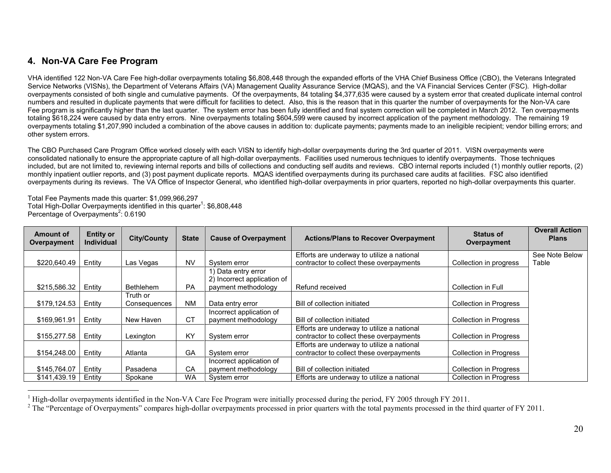# **4. Non-VA Care Fee Program**

VHA identified 122 Non-VA Care Fee high-dollar overpayments totaling \$6,808,448 through the expanded efforts of the VHA Chief Business Office (CBO), the Veterans Integrated Service Networks (VISNs), the Department of Veterans Affairs (VA) Management Quality Assurance Service (MQAS), and the VA Financial Services Center (FSC). High-dollar overpayments consisted of both single and cumulative payments. Of the overpayments, 84 totaling \$4,377,635 were caused by a system error that created duplicate internal control numbers and resulted in duplicate payments that were difficult for facilities to detect. Also, this is the reason that in this quarter the number of overpayments for the Non-VA care Fee program is significantly higher than the last quarter. The system error has been fully identified and final system correction will be completed in March 2012. Ten overpayments totaling \$618,224 were caused by data entry errors. Nine overpayments totaling \$604,599 were caused by incorrect application of the payment methodology. The remaining 19 overpayments totaling \$1,207,990 included a combination of the above causes in addition to: duplicate payments; payments made to an ineligible recipient; vendor billing errors; and other system errors.

The CBO Purchased Care Program Office worked closely with each VISN to identify high-dollar overpayments during the 3rd quarter of 2011. VISN overpayments were consolidated nationally to ensure the appropriate capture of all high-dollar overpayments. Facilities used numerous techniques to identify overpayments. Those techniques included, but are not limited to, reviewing internal reports and bills of collections and conducting self audits and reviews. CBO internal reports included (1) monthly outlier reports, (2) monthly inpatient outlier reports, and (3) post payment duplicate reports. MQAS identified overpayments during its purchased care audits at facilities. FSC also identified overpayments during its reviews. The VA Office of Inspector General, who identified high-dollar overpayments in prior quarters, reported no high-dollar overpayments this quarter.

Total Fee Payments made this quarter: \$1,099,966,297 Total High-Dollar Overpayments identified in this quarter<sup>1</sup>: \$6,808,448 Percentage of Overpayments<sup>2</sup>: 0.6190

| Amount of<br>Overpayment | <b>Entity or</b><br><b>Individual</b> | <b>City/County</b> | <b>State</b> | <b>Cause of Overpayment</b>                        | <b>Actions/Plans to Recover Overpayment</b> | <b>Status of</b><br>Overpayment | <b>Overall Action</b><br><b>Plans</b> |
|--------------------------|---------------------------------------|--------------------|--------------|----------------------------------------------------|---------------------------------------------|---------------------------------|---------------------------------------|
|                          |                                       |                    |              |                                                    | Efforts are underway to utilize a national  |                                 | See Note Below                        |
| \$220,640.49             | Entity                                | Las Vegas          | <b>NV</b>    | System error                                       | contractor to collect these overpayments    | Collection in progress          | Table                                 |
|                          |                                       |                    |              | 1) Data entry error<br>2) Incorrect application of |                                             |                                 |                                       |
| \$215,586.32             | Entity                                | <b>Bethlehem</b>   | <b>PA</b>    | payment methodology                                | Refund received                             | Collection in Full              |                                       |
|                          |                                       | Truth or           |              |                                                    |                                             |                                 |                                       |
| \$179,124.53             | Entity                                | Consequences       | <b>NM</b>    | Data entry error                                   | Bill of collection initiated                | <b>Collection in Progress</b>   |                                       |
|                          |                                       |                    |              | Incorrect application of                           |                                             |                                 |                                       |
| \$169,961.91             | Entity                                | New Haven          | <b>CT</b>    | payment methodology                                | Bill of collection initiated                | Collection in Progress          |                                       |
|                          |                                       |                    |              |                                                    | Efforts are underway to utilize a national  |                                 |                                       |
| \$155,277.58             | Entity                                | Lexington          | KY           | System error                                       | contractor to collect these overpayments    | <b>Collection in Progress</b>   |                                       |
|                          |                                       |                    |              |                                                    | Efforts are underway to utilize a national  |                                 |                                       |
| \$154,248.00             | Entity                                | Atlanta            | GA           | System error                                       | contractor to collect these overpayments    | <b>Collection in Progress</b>   |                                       |
|                          |                                       |                    |              | Incorrect application of                           |                                             |                                 |                                       |
| \$145,764.07             | Entity                                | Pasadena           | CA           | payment methodology                                | Bill of collection initiated                | <b>Collection in Progress</b>   |                                       |
| \$141,439.19             | Entity                                | Spokane            | <b>WA</b>    | System error                                       | Efforts are underway to utilize a national  | <b>Collection in Progress</b>   |                                       |

<span id="page-19-0"></span><sup>&</sup>lt;sup>1</sup> High-dollar overpayments identified in the Non-VA Care Fee Program were initially processed during the period, FY 2005 through FY 2011.

<sup>&</sup>lt;sup>2</sup> The "Percentage of Overpayments" compares high-dollar overpayments processed in prior quarters with the total payments processed in the third quarter of FY 2011.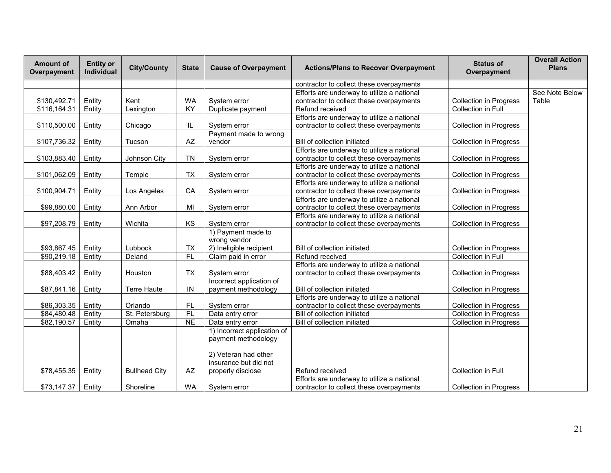| contractor to collect these overpayments                                                                                                          |                |
|---------------------------------------------------------------------------------------------------------------------------------------------------|----------------|
| Efforts are underway to utilize a national                                                                                                        | See Note Below |
| <b>WA</b><br>\$130,492.71<br>Entity<br>Kent<br>System error<br>contractor to collect these overpayments<br><b>Collection in Progress</b><br>Table |                |
| \$116,164.31<br>$\overline{KY}$<br>Collection in Full<br>Lexington<br>Duplicate payment<br>Refund received<br>Entity                              |                |
| Efforts are underway to utilize a national                                                                                                        |                |
| \$110,500.00<br>Entity<br>contractor to collect these overpayments<br><b>Collection in Progress</b><br>Chicago<br>IL.<br>System error             |                |
| Payment made to wrong                                                                                                                             |                |
| \$107,736.32<br>Entity<br>AZ<br>vendor<br>Bill of collection initiated<br><b>Collection in Progress</b><br>Tucson                                 |                |
| Efforts are underway to utilize a national                                                                                                        |                |
| <b>TN</b><br>\$103,883.40<br>Entity<br>Johnson City<br>contractor to collect these overpayments<br><b>Collection in Progress</b><br>System error  |                |
| Efforts are underway to utilize a national                                                                                                        |                |
| <b>TX</b><br>\$101,062.09<br>Entity<br>contractor to collect these overpayments<br><b>Collection in Progress</b><br>Temple<br>System error        |                |
| Efforts are underway to utilize a national                                                                                                        |                |
| \$100,904.71<br>Entity<br>Los Angeles<br>CA<br>contractor to collect these overpayments<br><b>Collection in Progress</b><br>System error          |                |
| Efforts are underway to utilize a national                                                                                                        |                |
| \$99,880.00<br>Entity<br>Ann Arbor<br>MI<br>contractor to collect these overpayments<br><b>Collection in Progress</b><br>System error             |                |
| Efforts are underway to utilize a national                                                                                                        |                |
| \$97,208.79<br>Entity<br>Wichita<br>KS<br>contractor to collect these overpayments<br><b>Collection in Progress</b><br>System error               |                |
| 1) Payment made to                                                                                                                                |                |
| wrong vendor                                                                                                                                      |                |
| 2) Ineligible recipient<br>\$93,867.45<br>Entity<br>Lubbock<br><b>TX</b><br>Bill of collection initiated<br><b>Collection in Progress</b>         |                |
| \$90,219.18<br>FL<br>Claim paid in error<br>Refund received<br>Collection in Full<br>Entity<br>Deland                                             |                |
| Efforts are underway to utilize a national                                                                                                        |                |
| \$88,403.42<br><b>TX</b><br>contractor to collect these overpayments<br>Entity<br>Houston<br>System error<br><b>Collection in Progress</b>        |                |
| Incorrect application of<br>IN                                                                                                                    |                |
| \$87,841.16<br>Entity<br><b>Terre Haute</b><br>Bill of collection initiated<br><b>Collection in Progress</b><br>payment methodology               |                |
| Efforts are underway to utilize a national                                                                                                        |                |
| \$86,303.35<br>FL.<br>Entity<br>Orlando<br>System error<br>contractor to collect these overpayments<br><b>Collection in Progress</b>              |                |
| F<br>\$84,480.48<br>St. Petersburg<br>Collection in Progress<br>Entity<br>Bill of collection initiated<br>Data entry error                        |                |
| \$82,190.57<br>$\overline{NE}$<br>Entity<br>Omaha<br>Bill of collection initiated<br><b>Collection in Progress</b><br>Data entry error            |                |
| 1) Incorrect application of                                                                                                                       |                |
| payment methodology                                                                                                                               |                |
|                                                                                                                                                   |                |
| 2) Veteran had other<br>insurance but did not                                                                                                     |                |
| AZ<br>\$78,455.35<br>Entity<br><b>Bullhead City</b><br>Refund received<br>Collection in Full<br>properly disclose                                 |                |
| Efforts are underway to utilize a national                                                                                                        |                |
| \$73,147.37<br>Entity<br><b>WA</b><br>Shoreline<br>contractor to collect these overpayments<br><b>Collection in Progress</b><br>System error      |                |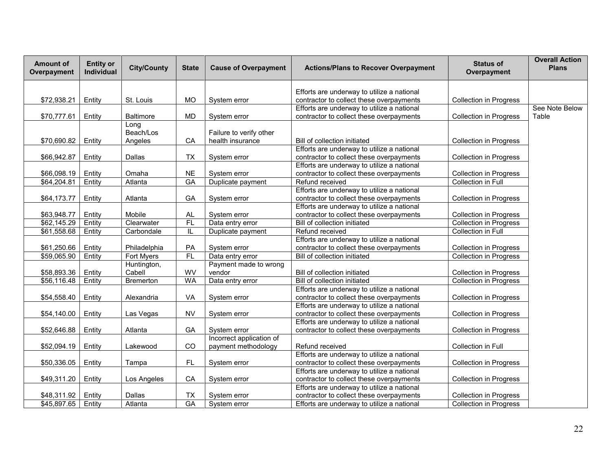| <b>Amount of</b><br><b>Entity or</b><br><b>City/County</b><br><b>Cause of Overpayment</b><br><b>Actions/Plans to Recover Overpayment</b><br><b>State</b><br>Individual<br>Overpayment | <b>Overall Action</b><br><b>Status of</b><br><b>Plans</b><br>Overpayment |
|---------------------------------------------------------------------------------------------------------------------------------------------------------------------------------------|--------------------------------------------------------------------------|
|                                                                                                                                                                                       |                                                                          |
| Efforts are underway to utilize a national                                                                                                                                            |                                                                          |
| \$72,938.21<br>Entity<br>St. Louis<br><b>MO</b><br>contractor to collect these overpayments<br>System error                                                                           | <b>Collection in Progress</b>                                            |
| Efforts are underway to utilize a national                                                                                                                                            | See Note Below                                                           |
| Entity<br><b>MD</b><br>contractor to collect these overpayments<br>\$70,777.61<br><b>Baltimore</b><br>System error                                                                    | Table<br><b>Collection in Progress</b>                                   |
| Long<br>Beach/Los<br>Failure to verify other                                                                                                                                          |                                                                          |
| \$70,690.82<br>Entity<br>CA<br>health insurance<br>Bill of collection initiated<br>Angeles                                                                                            | <b>Collection in Progress</b>                                            |
| Efforts are underway to utilize a national                                                                                                                                            |                                                                          |
| \$66,942.87<br>Entity<br>Dallas<br><b>TX</b><br>contractor to collect these overpayments<br>System error                                                                              | <b>Collection in Progress</b>                                            |
| Efforts are underway to utilize a national                                                                                                                                            |                                                                          |
| <b>NE</b><br>\$66,098.19<br>Entity<br>Omaha<br>contractor to collect these overpayments<br>System error                                                                               | <b>Collection in Progress</b>                                            |
| \$64,204.81<br>$G$ A<br>Entity<br>Atlanta<br>Duplicate payment<br>Refund received                                                                                                     | Collection in Full                                                       |
| Efforts are underway to utilize a national                                                                                                                                            |                                                                          |
| \$64,173.77<br>Entity<br>GA<br>contractor to collect these overpayments<br>Atlanta<br>System error                                                                                    | <b>Collection in Progress</b>                                            |
| Efforts are underway to utilize a national                                                                                                                                            |                                                                          |
| \$63,948.77<br>Entity<br>Mobile<br>$\mathsf{AL}$<br>System error<br>contractor to collect these overpayments                                                                          | Collection in Progress                                                   |
| FL<br>\$62,145.29<br>Data entry error<br>Entity<br>Clearwater<br>Bill of collection initiated                                                                                         | <b>Collection in Progress</b>                                            |
| \$61,558.68<br>Entity<br>Carbondale<br>IL<br>Duplicate payment<br>Refund received                                                                                                     | <b>Collection in Full</b>                                                |
| Efforts are underway to utilize a national                                                                                                                                            |                                                                          |
| \$61,250.66<br>Entity<br>Philadelphia<br>PA<br>contractor to collect these overpayments<br>System error                                                                               | Collection in Progress                                                   |
| \$59,065.90<br>Fort Myers<br>FL<br>Bill of collection initiated<br>Entity<br>Data entry error                                                                                         | <b>Collection in Progress</b>                                            |
| Huntington,<br>Payment made to wrong                                                                                                                                                  |                                                                          |
| Cabell<br>WV<br>vendor<br>\$58,893.36<br>Entity<br>Bill of collection initiated                                                                                                       | <b>Collection in Progress</b>                                            |
| \$56,116.48<br>Entity<br>Bremerton<br><b>WA</b><br>Data entry error<br>Bill of collection initiated                                                                                   | <b>Collection in Progress</b>                                            |
| Efforts are underway to utilize a national                                                                                                                                            |                                                                          |
| \$54,558.40<br>VA<br>Entity<br>Alexandria<br>System error<br>contractor to collect these overpayments                                                                                 | <b>Collection in Progress</b>                                            |
| Efforts are underway to utilize a national                                                                                                                                            |                                                                          |
| \$54,140.00<br><b>NV</b><br>Entity<br>Las Vegas<br>System error<br>contractor to collect these overpayments                                                                           | <b>Collection in Progress</b>                                            |
| Efforts are underway to utilize a national                                                                                                                                            |                                                                          |
| GA<br>System error<br>contractor to collect these overpayments<br>\$52,646.88<br>Entity<br>Atlanta                                                                                    | <b>Collection in Progress</b>                                            |
| Incorrect application of                                                                                                                                                              |                                                                          |
| CO<br>\$52,094.19<br>Entity<br>Refund received<br>Lakewood<br>payment methodology                                                                                                     | Collection in Full                                                       |
| Efforts are underway to utilize a national                                                                                                                                            |                                                                          |
| FL<br>Entity<br>\$50,336.05<br>System error<br>contractor to collect these overpayments<br>Tampa                                                                                      | <b>Collection in Progress</b>                                            |
| Efforts are underway to utilize a national<br>CA<br>\$49,311.20<br>Entity<br>Los Angeles<br>contractor to collect these overpayments<br>System error                                  | <b>Collection in Progress</b>                                            |
| Efforts are underway to utilize a national                                                                                                                                            |                                                                          |
| \$48,311.92<br>Dallas<br><b>TX</b><br>contractor to collect these overpayments<br>Entity<br>System error                                                                              | <b>Collection in Progress</b>                                            |
| \$45,897.65<br>$\overline{GA}$<br>Entity<br>Atlanta<br>Efforts are underway to utilize a national<br>System error                                                                     | Collection in Progress                                                   |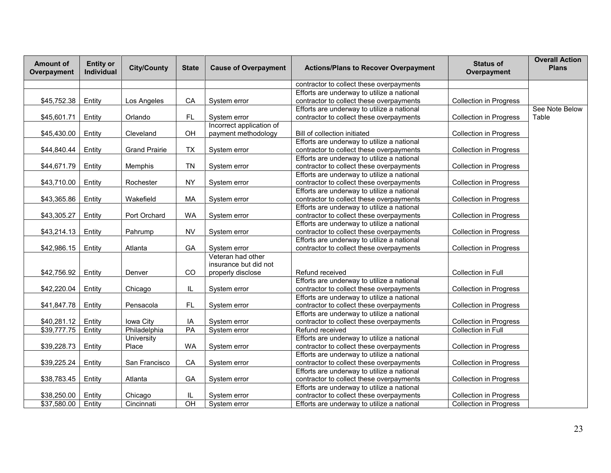| <b>Amount of</b><br>Overpayment | <b>Entity or</b><br>Individual | <b>City/County</b>   | <b>State</b>    | <b>Cause of Overpayment</b> | <b>Actions/Plans to Recover Overpayment</b> | <b>Status of</b><br>Overpayment | <b>Overall Action</b><br><b>Plans</b> |
|---------------------------------|--------------------------------|----------------------|-----------------|-----------------------------|---------------------------------------------|---------------------------------|---------------------------------------|
|                                 |                                |                      |                 |                             | contractor to collect these overpayments    |                                 |                                       |
|                                 |                                |                      |                 |                             | Efforts are underway to utilize a national  |                                 |                                       |
| \$45,752.38                     | Entity                         | Los Angeles          | CA              | System error                | contractor to collect these overpayments    | <b>Collection in Progress</b>   |                                       |
|                                 |                                |                      |                 |                             | Efforts are underway to utilize a national  |                                 | See Note Below                        |
| \$45,601.71                     | Entity                         | Orlando              | FL.             | System error                | contractor to collect these overpayments    | <b>Collection in Progress</b>   | Table                                 |
|                                 |                                |                      |                 | Incorrect application of    |                                             |                                 |                                       |
| \$45,430.00                     | Entity                         | Cleveland            | OH              | payment methodology         | Bill of collection initiated                | <b>Collection in Progress</b>   |                                       |
|                                 |                                |                      |                 |                             | Efforts are underway to utilize a national  |                                 |                                       |
| \$44,840.44                     | Entity                         | <b>Grand Prairie</b> | <b>TX</b>       | System error                | contractor to collect these overpayments    | <b>Collection in Progress</b>   |                                       |
|                                 |                                |                      |                 |                             | Efforts are underway to utilize a national  |                                 |                                       |
| \$44,671.79                     | Entity                         | Memphis              | TN              | System error                | contractor to collect these overpayments    | <b>Collection in Progress</b>   |                                       |
|                                 |                                |                      |                 |                             | Efforts are underway to utilize a national  |                                 |                                       |
| \$43,710.00                     | Entity                         | Rochester            | <b>NY</b>       | System error                | contractor to collect these overpayments    | <b>Collection in Progress</b>   |                                       |
|                                 |                                |                      |                 |                             | Efforts are underway to utilize a national  |                                 |                                       |
| \$43,365.86                     | Entity                         | Wakefield            | MA              | System error                | contractor to collect these overpayments    | <b>Collection in Progress</b>   |                                       |
|                                 |                                |                      |                 |                             | Efforts are underway to utilize a national  |                                 |                                       |
| \$43,305.27                     | Entity                         | Port Orchard         | <b>WA</b>       | System error                | contractor to collect these overpayments    | <b>Collection in Progress</b>   |                                       |
|                                 |                                |                      |                 |                             | Efforts are underway to utilize a national  |                                 |                                       |
| \$43,214.13                     | Entity                         | Pahrump              | <b>NV</b>       | System error                | contractor to collect these overpayments    | <b>Collection in Progress</b>   |                                       |
|                                 |                                |                      |                 |                             | Efforts are underway to utilize a national  |                                 |                                       |
| \$42,986.15                     | Entity                         | Atlanta              | GA              | System error                | contractor to collect these overpayments    | <b>Collection in Progress</b>   |                                       |
|                                 |                                |                      |                 | Veteran had other           |                                             |                                 |                                       |
|                                 |                                |                      |                 | insurance but did not       |                                             |                                 |                                       |
| \$42,756.92                     | Entity                         | Denver               | CO              | properly disclose           | Refund received                             | Collection in Full              |                                       |
|                                 |                                |                      |                 |                             | Efforts are underway to utilize a national  |                                 |                                       |
| \$42,220.04                     | Entity                         | Chicago              | IL.             | System error                | contractor to collect these overpayments    | <b>Collection in Progress</b>   |                                       |
|                                 |                                |                      |                 |                             | Efforts are underway to utilize a national  |                                 |                                       |
| \$41,847.78                     | Entity                         | Pensacola            | <b>FL</b>       | System error                | contractor to collect these overpayments    | Collection in Progress          |                                       |
|                                 |                                |                      |                 |                             | Efforts are underway to utilize a national  |                                 |                                       |
| \$40,281.12                     | Entity                         | Iowa City            | IA              | System error                | contractor to collect these overpayments    | Collection in Progress          |                                       |
| \$39,777.75                     | Entity                         | Philadelphia         | PA              | System error                | Refund received                             | <b>Collection in Full</b>       |                                       |
|                                 |                                | University           |                 |                             | Efforts are underway to utilize a national  |                                 |                                       |
| \$39,228.73                     | Entity                         | Place                | <b>WA</b>       | System error                | contractor to collect these overpayments    | <b>Collection in Progress</b>   |                                       |
|                                 |                                |                      |                 |                             | Efforts are underway to utilize a national  |                                 |                                       |
| \$39,225.24                     | Entity                         | San Francisco        | CA              | System error                | contractor to collect these overpayments    | <b>Collection in Progress</b>   |                                       |
|                                 |                                |                      |                 |                             | Efforts are underway to utilize a national  |                                 |                                       |
| \$38,783.45                     | Entity                         | Atlanta              | GA              | System error                | contractor to collect these overpayments    | <b>Collection in Progress</b>   |                                       |
|                                 |                                |                      |                 |                             | Efforts are underway to utilize a national  |                                 |                                       |
| \$38,250.00                     | Entity                         | Chicago              | IL              | System error                | contractor to collect these overpayments    | <b>Collection in Progress</b>   |                                       |
| \$37,580.00                     | Entity                         | Cincinnati           | $\overline{CH}$ | System error                | Efforts are underway to utilize a national  | Collection in Progress          |                                       |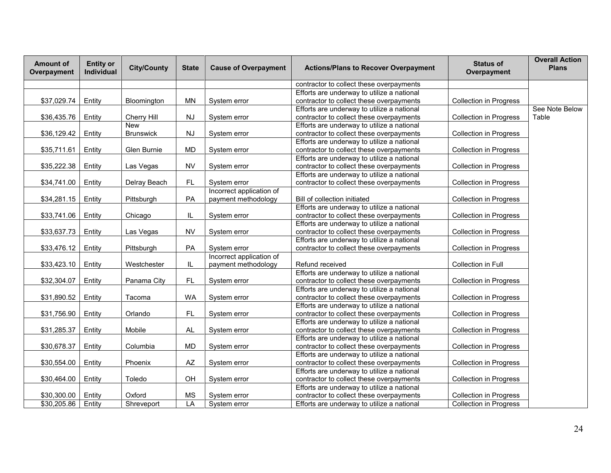| <b>Amount of</b><br>Overpayment | <b>Entity or</b><br>Individual | <b>City/County</b> | <b>State</b> | <b>Cause of Overpayment</b> | <b>Actions/Plans to Recover Overpayment</b> | <b>Status of</b><br>Overpayment | <b>Overall Action</b><br><b>Plans</b> |
|---------------------------------|--------------------------------|--------------------|--------------|-----------------------------|---------------------------------------------|---------------------------------|---------------------------------------|
|                                 |                                |                    |              |                             | contractor to collect these overpayments    |                                 |                                       |
|                                 |                                |                    |              |                             | Efforts are underway to utilize a national  |                                 |                                       |
| \$37,029.74                     | Entity                         | Bloomington        | <b>MN</b>    | System error                | contractor to collect these overpayments    | <b>Collection in Progress</b>   |                                       |
|                                 |                                |                    |              |                             | Efforts are underway to utilize a national  |                                 | See Note Below                        |
| \$36,435.76                     | Entity                         | Cherry Hill        | NJ           | System error                | contractor to collect these overpayments    | <b>Collection in Progress</b>   | Table                                 |
|                                 |                                | <b>New</b>         |              |                             | Efforts are underway to utilize a national  |                                 |                                       |
| \$36,129.42                     | Entity                         | <b>Brunswick</b>   | NJ           | System error                | contractor to collect these overpayments    | <b>Collection in Progress</b>   |                                       |
|                                 |                                |                    |              |                             | Efforts are underway to utilize a national  |                                 |                                       |
| \$35,711.61                     | Entity                         | Glen Burnie        | <b>MD</b>    | System error                | contractor to collect these overpayments    | <b>Collection in Progress</b>   |                                       |
|                                 |                                |                    |              |                             | Efforts are underway to utilize a national  |                                 |                                       |
| \$35,222.38                     | Entity                         | Las Vegas          | <b>NV</b>    | System error                | contractor to collect these overpayments    | <b>Collection in Progress</b>   |                                       |
|                                 |                                |                    |              |                             | Efforts are underway to utilize a national  |                                 |                                       |
| \$34,741.00                     | Entity                         | Delray Beach       | FL.          | System error                | contractor to collect these overpayments    | <b>Collection in Progress</b>   |                                       |
|                                 |                                |                    |              | Incorrect application of    |                                             |                                 |                                       |
| \$34,281.15                     | Entity                         | Pittsburgh         | PA           | payment methodology         | Bill of collection initiated                | <b>Collection in Progress</b>   |                                       |
|                                 |                                |                    |              |                             | Efforts are underway to utilize a national  |                                 |                                       |
| \$33,741.06                     | Entity                         | Chicago            | IL           | System error                | contractor to collect these overpayments    | <b>Collection in Progress</b>   |                                       |
|                                 |                                |                    |              |                             | Efforts are underway to utilize a national  |                                 |                                       |
| \$33,637.73                     | Entity                         | Las Vegas          | <b>NV</b>    | System error                | contractor to collect these overpayments    | <b>Collection in Progress</b>   |                                       |
|                                 |                                |                    |              |                             | Efforts are underway to utilize a national  |                                 |                                       |
| \$33,476.12                     | Entity                         | Pittsburgh         | PA           | System error                | contractor to collect these overpayments    | Collection in Progress          |                                       |
|                                 |                                |                    |              | Incorrect application of    |                                             |                                 |                                       |
| \$33,423.10                     | Entity                         | Westchester        | IL           | payment methodology         | Refund received                             | Collection in Full              |                                       |
|                                 |                                |                    |              |                             | Efforts are underway to utilize a national  |                                 |                                       |
| \$32,304.07                     | Entity                         | Panama City        | FL.          | System error                | contractor to collect these overpayments    | <b>Collection in Progress</b>   |                                       |
|                                 |                                |                    |              |                             | Efforts are underway to utilize a national  |                                 |                                       |
| \$31,890.52                     | Entity                         | Tacoma             | <b>WA</b>    | System error                | contractor to collect these overpayments    | <b>Collection in Progress</b>   |                                       |
|                                 |                                |                    |              |                             | Efforts are underway to utilize a national  |                                 |                                       |
| \$31,756.90                     | Entity                         | Orlando            | FL           | System error                | contractor to collect these overpayments    | <b>Collection in Progress</b>   |                                       |
|                                 |                                |                    |              |                             | Efforts are underway to utilize a national  |                                 |                                       |
| \$31,285.37                     | Entity                         | Mobile             | AL           | System error                | contractor to collect these overpayments    | <b>Collection in Progress</b>   |                                       |
|                                 |                                |                    |              |                             | Efforts are underway to utilize a national  |                                 |                                       |
| \$30,678.37                     | Entity                         | Columbia           | <b>MD</b>    | System error                | contractor to collect these overpayments    | <b>Collection in Progress</b>   |                                       |
|                                 |                                |                    |              |                             | Efforts are underway to utilize a national  |                                 |                                       |
| \$30,554.00                     | Entity                         | Phoenix            | AZ           | System error                | contractor to collect these overpayments    | <b>Collection in Progress</b>   |                                       |
|                                 |                                |                    |              |                             | Efforts are underway to utilize a national  |                                 |                                       |
| \$30,464.00                     | Entity                         | Toledo             | OH           | System error                | contractor to collect these overpayments    | <b>Collection in Progress</b>   |                                       |
|                                 |                                |                    |              |                             | Efforts are underway to utilize a national  |                                 |                                       |
| \$30,300.00                     | Entity                         | Oxford             | <b>MS</b>    | System error                | contractor to collect these overpayments    | <b>Collection in Progress</b>   |                                       |
| \$30,205.86                     | Entity                         | Shreveport         | LA           | System error                | Efforts are underway to utilize a national  | Collection in Progress          |                                       |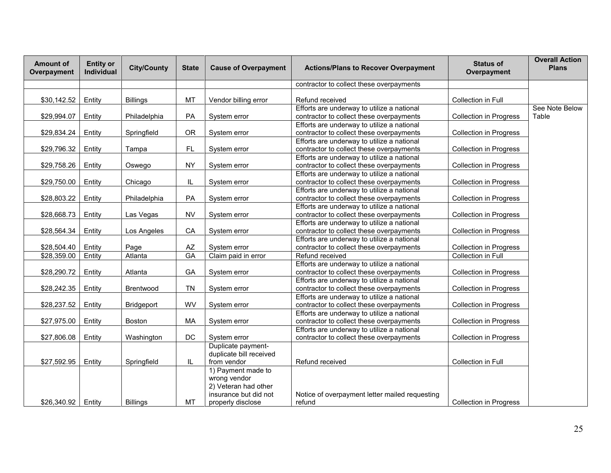| <b>Amount of</b><br>Overpayment | <b>Entity or</b><br>Individual | <b>City/County</b> | <b>State</b> | <b>Cause of Overpayment</b>                                                                              | <b>Actions/Plans to Recover Overpayment</b>                                            | <b>Status of</b><br>Overpayment | <b>Overall Action</b><br><b>Plans</b> |
|---------------------------------|--------------------------------|--------------------|--------------|----------------------------------------------------------------------------------------------------------|----------------------------------------------------------------------------------------|---------------------------------|---------------------------------------|
|                                 |                                |                    |              |                                                                                                          | contractor to collect these overpayments                                               |                                 |                                       |
| \$30,142.52                     | Entity                         | <b>Billings</b>    | MT           | Vendor billing error                                                                                     | Refund received                                                                        | Collection in Full              |                                       |
| \$29,994.07                     | Entity                         | Philadelphia       | PA           | System error                                                                                             | Efforts are underway to utilize a national<br>contractor to collect these overpayments | <b>Collection in Progress</b>   | See Note Below<br>Table               |
| \$29,834.24                     | Entity                         | Springfield        | <b>OR</b>    | System error                                                                                             | Efforts are underway to utilize a national<br>contractor to collect these overpayments | <b>Collection in Progress</b>   |                                       |
| \$29,796.32                     | Entity                         | Tampa              | FL           | System error                                                                                             | Efforts are underway to utilize a national<br>contractor to collect these overpayments | <b>Collection in Progress</b>   |                                       |
| \$29,758.26                     | Entity                         | Oswego             | <b>NY</b>    | System error                                                                                             | Efforts are underway to utilize a national<br>contractor to collect these overpayments | <b>Collection in Progress</b>   |                                       |
| \$29,750.00                     | Entity                         | Chicago            | IL           | System error                                                                                             | Efforts are underway to utilize a national<br>contractor to collect these overpayments | <b>Collection in Progress</b>   |                                       |
| \$28,803.22                     | Entity                         | Philadelphia       | PA           | System error                                                                                             | Efforts are underway to utilize a national<br>contractor to collect these overpayments | <b>Collection in Progress</b>   |                                       |
| \$28,668.73                     | Entity                         | Las Vegas          | <b>NV</b>    | System error                                                                                             | Efforts are underway to utilize a national<br>contractor to collect these overpayments | <b>Collection in Progress</b>   |                                       |
| \$28,564.34                     | Entity                         | Los Angeles        | CA           | System error                                                                                             | Efforts are underway to utilize a national<br>contractor to collect these overpayments | <b>Collection in Progress</b>   |                                       |
| \$28,504.40                     | Entity                         | Page               | AZ           | System error                                                                                             | Efforts are underway to utilize a national<br>contractor to collect these overpayments | <b>Collection in Progress</b>   |                                       |
| \$28,359.00                     | Entity                         | Atlanta            | GA           | Claim paid in error                                                                                      | Refund received                                                                        | Collection in Full              |                                       |
| \$28,290.72                     | Entity                         | Atlanta            | GA           | System error                                                                                             | Efforts are underway to utilize a national<br>contractor to collect these overpayments | <b>Collection in Progress</b>   |                                       |
| \$28,242.35                     | Entity                         | Brentwood          | <b>TN</b>    | System error                                                                                             | Efforts are underway to utilize a national<br>contractor to collect these overpayments | Collection in Progress          |                                       |
| \$28,237.52                     | Entity                         | Bridgeport         | <b>WV</b>    | System error                                                                                             | Efforts are underway to utilize a national<br>contractor to collect these overpayments | <b>Collection in Progress</b>   |                                       |
| \$27,975.00                     | Entity                         | <b>Boston</b>      | MA           | System error                                                                                             | Efforts are underway to utilize a national<br>contractor to collect these overpayments | <b>Collection in Progress</b>   |                                       |
| \$27,806.08                     | Entity                         | Washington         | DC           | System error                                                                                             | Efforts are underway to utilize a national<br>contractor to collect these overpayments | <b>Collection in Progress</b>   |                                       |
| \$27,592.95                     | Entity                         | Springfield        | IL           | Duplicate payment-<br>duplicate bill received<br>from vendor                                             | Refund received                                                                        | Collection in Full              |                                       |
| \$26,340.92                     | Entity                         | <b>Billings</b>    | MT           | 1) Payment made to<br>wrong vendor<br>2) Veteran had other<br>insurance but did not<br>properly disclose | Notice of overpayment letter mailed requesting<br>refund                               | <b>Collection in Progress</b>   |                                       |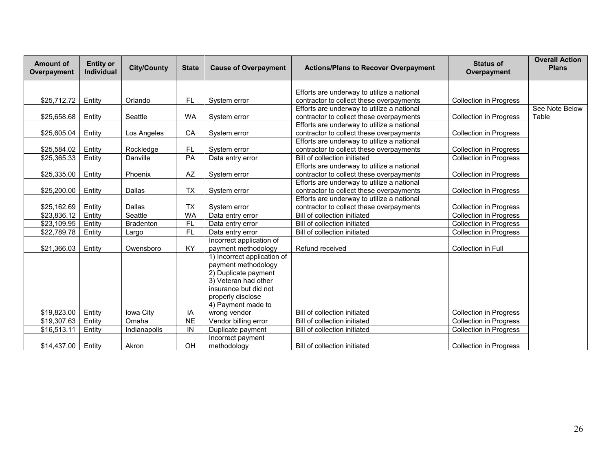| <b>Amount of</b><br>Overpayment | <b>Entity or</b><br><b>Individual</b> | <b>City/County</b> | <b>State</b>    | <b>Cause of Overpayment</b> | <b>Actions/Plans to Recover Overpayment</b> | <b>Status of</b><br>Overpayment | <b>Overall Action</b><br><b>Plans</b> |
|---------------------------------|---------------------------------------|--------------------|-----------------|-----------------------------|---------------------------------------------|---------------------------------|---------------------------------------|
|                                 |                                       |                    |                 |                             |                                             |                                 |                                       |
|                                 |                                       |                    |                 |                             | Efforts are underway to utilize a national  |                                 |                                       |
| \$25,712.72                     | Entity                                | Orlando            | FL.             | System error                | contractor to collect these overpayments    | <b>Collection in Progress</b>   |                                       |
|                                 |                                       |                    |                 |                             | Efforts are underway to utilize a national  |                                 | See Note Below                        |
| \$25,658.68                     | Entity                                | Seattle            | WA              | System error                | contractor to collect these overpayments    | <b>Collection in Progress</b>   | Table                                 |
|                                 |                                       |                    |                 |                             | Efforts are underway to utilize a national  |                                 |                                       |
| \$25,605.04                     | Entity                                | Los Angeles        | CA              | System error                | contractor to collect these overpayments    | <b>Collection in Progress</b>   |                                       |
|                                 |                                       |                    |                 |                             | Efforts are underway to utilize a national  |                                 |                                       |
| \$25,584.02                     | Entity                                | Rockledge          | FL              | System error                | contractor to collect these overpayments    | <b>Collection in Progress</b>   |                                       |
| \$25,365.33                     | Entity                                | Danville           | PA              | Data entry error            | Bill of collection initiated                | <b>Collection in Progress</b>   |                                       |
|                                 |                                       |                    |                 |                             | Efforts are underway to utilize a national  |                                 |                                       |
| \$25,335.00                     | Entity                                | Phoenix            | AZ              | System error                | contractor to collect these overpayments    | <b>Collection in Progress</b>   |                                       |
|                                 |                                       |                    |                 |                             | Efforts are underway to utilize a national  |                                 |                                       |
| \$25,200.00                     | Entity                                | Dallas             | <b>TX</b>       | System error                | contractor to collect these overpayments    | <b>Collection in Progress</b>   |                                       |
|                                 |                                       |                    |                 |                             | Efforts are underway to utilize a national  |                                 |                                       |
| \$25,162.69                     | Entity                                | <b>Dallas</b>      | <b>TX</b>       | System error                | contractor to collect these overpayments    | <b>Collection in Progress</b>   |                                       |
| $\overline{$}23,836.12$         | Entity                                | Seattle            | <b>WA</b>       | Data entry error            | Bill of collection initiated                | <b>Collection in Progress</b>   |                                       |
| \$23,109.95                     | Entity                                | <b>Bradenton</b>   | <b>FL</b>       | Data entry error            | Bill of collection initiated                | <b>Collection in Progress</b>   |                                       |
| \$22,789.78                     | Entity                                | Largo              | FL              | Data entry error            | Bill of collection initiated                | <b>Collection in Progress</b>   |                                       |
|                                 |                                       |                    |                 | Incorrect application of    |                                             |                                 |                                       |
| \$21,366.03                     | Entity                                | Owensboro          | KY              | payment methodology         | Refund received                             | Collection in Full              |                                       |
|                                 |                                       |                    |                 | 1) Incorrect application of |                                             |                                 |                                       |
|                                 |                                       |                    |                 | payment methodology         |                                             |                                 |                                       |
|                                 |                                       |                    |                 | 2) Duplicate payment        |                                             |                                 |                                       |
|                                 |                                       |                    |                 | 3) Veteran had other        |                                             |                                 |                                       |
|                                 |                                       |                    |                 | insurance but did not       |                                             |                                 |                                       |
|                                 |                                       |                    |                 | properly disclose           |                                             |                                 |                                       |
|                                 |                                       |                    |                 | 4) Payment made to          |                                             |                                 |                                       |
| \$19,823.00                     | Entity                                | Iowa City          | ΙA              | wrong vendor                | Bill of collection initiated                | <b>Collection in Progress</b>   |                                       |
| \$19,307.63                     | Entity                                | Omaha              | $\overline{NE}$ | Vendor billing error        | Bill of collection initiated                | Collection in Progress          |                                       |
| \$16,513.11                     | Entity                                | Indianapolis       | IN              | Duplicate payment           | Bill of collection initiated                | <b>Collection in Progress</b>   |                                       |
|                                 |                                       |                    |                 | Incorrect payment           |                                             |                                 |                                       |
| \$14.437.00                     | Entity                                | Akron              | OH              | methodology                 | Bill of collection initiated                | <b>Collection in Progress</b>   |                                       |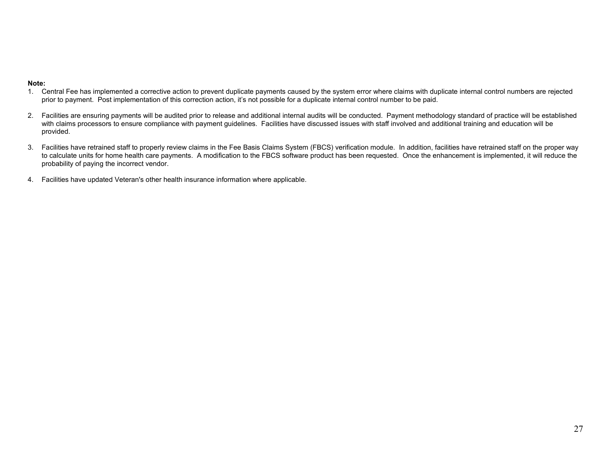### **Note:**

- 1. Central Fee has implemented a corrective action to prevent duplicate payments caused by the system error where claims with duplicate internal control numbers are rejected prior to payment. Post implementation of this correction action, it's not possible for a duplicate internal control number to be paid.
- 2. Facilities are ensuring payments will be audited prior to release and additional internal audits will be conducted. Payment methodology standard of practice will be established with claims processors to ensure compliance with payment guidelines. Facilities have discussed issues with staff involved and additional training and education will be provided.
- 3. Facilities have retrained staff to properly review claims in the Fee Basis Claims System (FBCS) verification module. In addition, facilities have retrained staff on the proper way to calculate units for home health care payments. A modification to the FBCS software product has been requested. Once the enhancement is implemented, it will reduce the probability of paying the incorrect vendor.
- 4. Facilities have updated Veteran's other health insurance information where applicable.